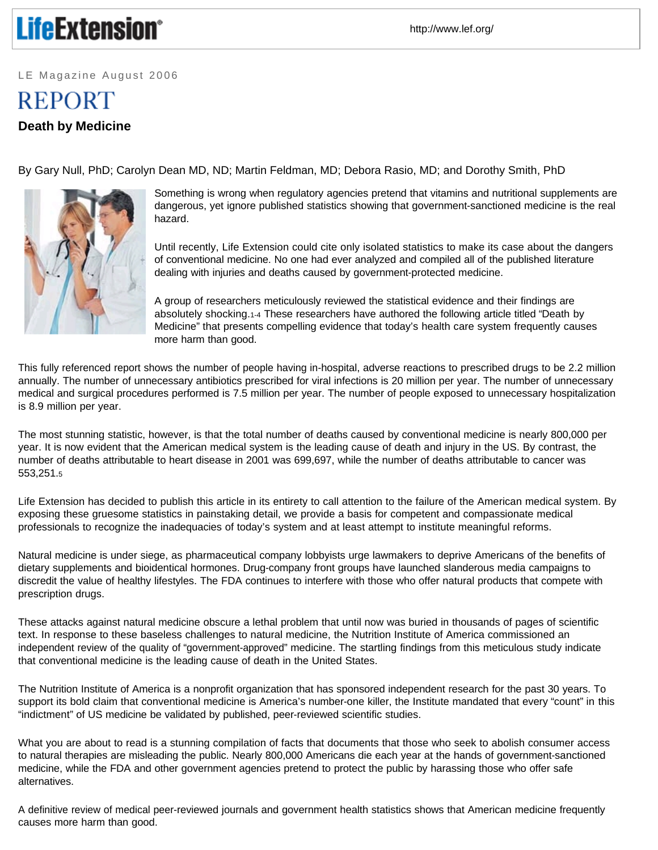# **LifeExtension®**

http://www.lef.org/

#### LE Magazine August 2006

## **REPORT**

#### **Death by Medicine**

By Gary Null, PhD; Carolyn Dean MD, ND; Martin Feldman, MD; Debora Rasio, MD; and Dorothy Smith, PhD



Something is wrong when regulatory agencies pretend that vitamins and nutritional supplements are dangerous, yet ignore published statistics showing that government-sanctioned medicine is the real hazard.

Until recently, Life Extension could cite only isolated statistics to make its case about the dangers of conventional medicine. No one had ever analyzed and compiled all of the published literature dealing with injuries and deaths caused by government-protected medicine.

A group of researchers meticulously reviewed the statistical evidence and their findings are absolutely shocking.1-4 These researchers have authored the following article titled "Death by Medicine" that presents compelling evidence that today's health care system frequently causes more harm than good.

This fully referenced report shows the number of people having in-hospital, adverse reactions to prescribed drugs to be 2.2 million annually. The number of unnecessary antibiotics prescribed for viral infections is 20 million per year. The number of unnecessary medical and surgical procedures performed is 7.5 million per year. The number of people exposed to unnecessary hospitalization is 8.9 million per year.

The most stunning statistic, however, is that the total number of deaths caused by conventional medicine is nearly 800,000 per year. It is now evident that the American medical system is the leading cause of death and injury in the US. By contrast, the number of deaths attributable to heart disease in 2001 was 699,697, while the number of deaths attributable to cancer was 553,251.<sup>5</sup>

Life Extension has decided to publish this article in its entirety to call attention to the failure of the American medical system. By exposing these gruesome statistics in painstaking detail, we provide a basis for competent and compassionate medical professionals to recognize the inadequacies of today's system and at least attempt to institute meaningful reforms.

Natural medicine is under siege, as pharmaceutical company lobbyists urge lawmakers to deprive Americans of the benefits of dietary supplements and bioidentical hormones. Drug-company front groups have launched slanderous media campaigns to discredit the value of healthy lifestyles. The FDA continues to interfere with those who offer natural products that compete with prescription drugs.

These attacks against natural medicine obscure a lethal problem that until now was buried in thousands of pages of scientific text. In response to these baseless challenges to natural medicine, the Nutrition Institute of America commissioned an independent review of the quality of "government-approved" medicine. The startling findings from this meticulous study indicate that conventional medicine is the leading cause of death in the United States.

The Nutrition Institute of America is a nonprofit organization that has sponsored independent research for the past 30 years. To support its bold claim that conventional medicine is America's number-one killer, the Institute mandated that every "count" in this "indictment" of US medicine be validated by published, peer-reviewed scientific studies.

What you are about to read is a stunning compilation of facts that documents that those who seek to abolish consumer access to natural therapies are misleading the public. Nearly 800,000 Americans die each year at the hands of government-sanctioned medicine, while the FDA and other government agencies pretend to protect the public by harassing those who offer safe alternatives.

A definitive review of medical peer-reviewed journals and government health statistics shows that American medicine frequently causes more harm than good.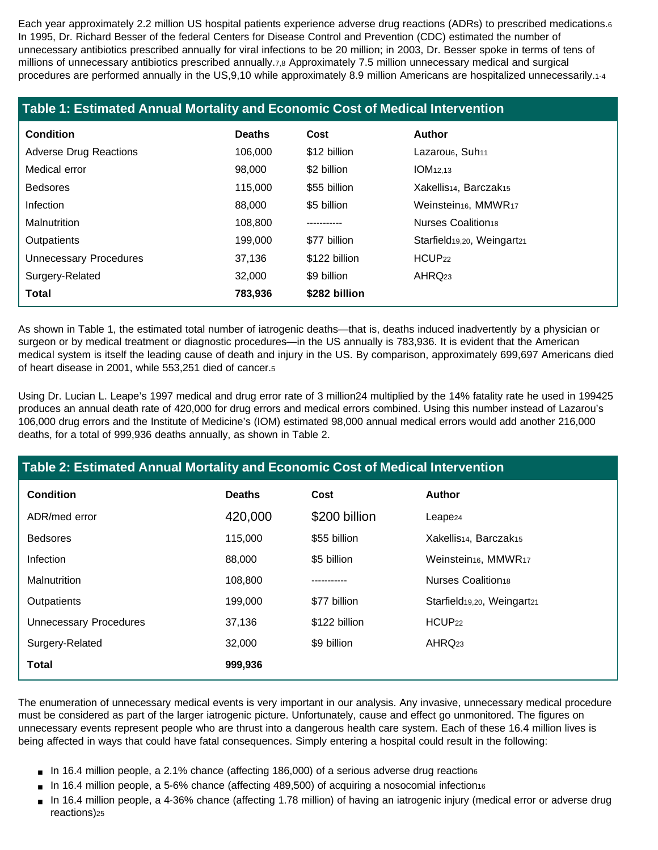Each year approximately 2.2 million US hospital patients experience adverse drug reactions (ADRs) to prescribed medications.<sup>6</sup> In 1995, Dr. Richard Besser of the federal Centers for Disease Control and Prevention (CDC) estimated the number of unnecessary antibiotics prescribed annually for viral infections to be 20 million; in 2003, Dr. Besser spoke in terms of tens of millions of unnecessary antibiotics prescribed annually.7,8 Approximately 7.5 million unnecessary medical and surgical procedures are performed annually in the US,9,10 while approximately 8.9 million Americans are hospitalized unnecessarily.1-4

| Table 1: Estimated Annual Mortality and Economic Cost of Medical Intervention |               |               |                                                     |  |  |
|-------------------------------------------------------------------------------|---------------|---------------|-----------------------------------------------------|--|--|
| <b>Condition</b>                                                              | <b>Deaths</b> | Cost          | <b>Author</b>                                       |  |  |
| <b>Adverse Drug Reactions</b>                                                 | 106,000       | \$12 billion  | Lazarou <sub>6</sub> , Suh <sub>11</sub>            |  |  |
| Medical error                                                                 | 98,000        | \$2 billion   | IOM <sub>12.13</sub>                                |  |  |
| <b>Bedsores</b>                                                               | 115,000       | \$55 billion  | Xakellis14, Barczak15                               |  |  |
| <b>Infection</b>                                                              | 88,000        | \$5 billion   | Weinstein <sub>16</sub> , MMWR <sub>17</sub>        |  |  |
| <b>Malnutrition</b>                                                           | 108,800       |               | <b>Nurses Coalition18</b>                           |  |  |
| Outpatients                                                                   | 199.000       | \$77 billion  | Starfield <sub>19,20</sub> , Weingart <sub>21</sub> |  |  |
| <b>Unnecessary Procedures</b>                                                 | 37,136        | \$122 billion | HCUP <sub>22</sub>                                  |  |  |
| Surgery-Related                                                               | 32,000        | \$9 billion   | AHRQ <sub>23</sub>                                  |  |  |
| Total                                                                         | 783,936       | \$282 billion |                                                     |  |  |

As shown in Table 1, the estimated total number of iatrogenic deaths—that is, deaths induced inadvertently by a physician or surgeon or by medical treatment or diagnostic procedures—in the US annually is 783,936. It is evident that the American medical system is itself the leading cause of death and injury in the US. By comparison, approximately 699,697 Americans died of heart disease in 2001, while 553,251 died of cancer.<sup>5</sup>

Using Dr. Lucian L. Leape's 1997 medical and drug error rate of 3 million24 multiplied by the 14% fatality rate he used in 199425 produces an annual death rate of 420,000 for drug errors and medical errors combined. Using this number instead of Lazarou's 106,000 drug errors and the Institute of Medicine's (IOM) estimated 98,000 annual medical errors would add another 216,000 deaths, for a total of 999,936 deaths annually, as shown in Table 2.

| Table 2: Estimated Annual Mortality and Economic Cost of Medical Intervention |               |               |                                                     |  |  |
|-------------------------------------------------------------------------------|---------------|---------------|-----------------------------------------------------|--|--|
| <b>Condition</b>                                                              | <b>Deaths</b> | Cost          | <b>Author</b>                                       |  |  |
| ADR/med error                                                                 | 420,000       | \$200 billion | Leape <sub>24</sub>                                 |  |  |
| <b>Bedsores</b>                                                               | 115,000       | \$55 billion  | Xakellis14, Barczak15                               |  |  |
| <b>Infection</b>                                                              | 88,000        | \$5 billion   | Weinstein <sub>16</sub> , MMWR <sub>17</sub>        |  |  |
| Malnutrition                                                                  | 108,800       |               | <b>Nurses Coalition18</b>                           |  |  |
| Outpatients                                                                   | 199,000       | \$77 billion  | Starfield <sub>19,20</sub> , Weingart <sub>21</sub> |  |  |
| <b>Unnecessary Procedures</b>                                                 | 37,136        | \$122 billion | HCUP <sub>22</sub>                                  |  |  |
| Surgery-Related                                                               | 32,000        | \$9 billion   | AHRQ <sub>23</sub>                                  |  |  |
| <b>Total</b>                                                                  | 999,936       |               |                                                     |  |  |

The enumeration of unnecessary medical events is very important in our analysis. Any invasive, unnecessary medical procedure must be considered as part of the larger iatrogenic picture. Unfortunately, cause and effect go unmonitored. The figures on unnecessary events represent people who are thrust into a dangerous health care system. Each of these 16.4 million lives is being affected in ways that could have fatal consequences. Simply entering a hospital could result in the following:

- In 16.4 million people, a 2.1% chance (affecting 186,000) of a serious adverse drug reactione
- $\blacksquare$  In 16.4 million people, a 5-6% chance (affecting 489,500) of acquiring a nosocomial infection16
- In 16.4 million people, a 4-36% chance (affecting 1.78 million) of having an iatrogenic injury (medical error or adverse drug reactions)<sub>25</sub>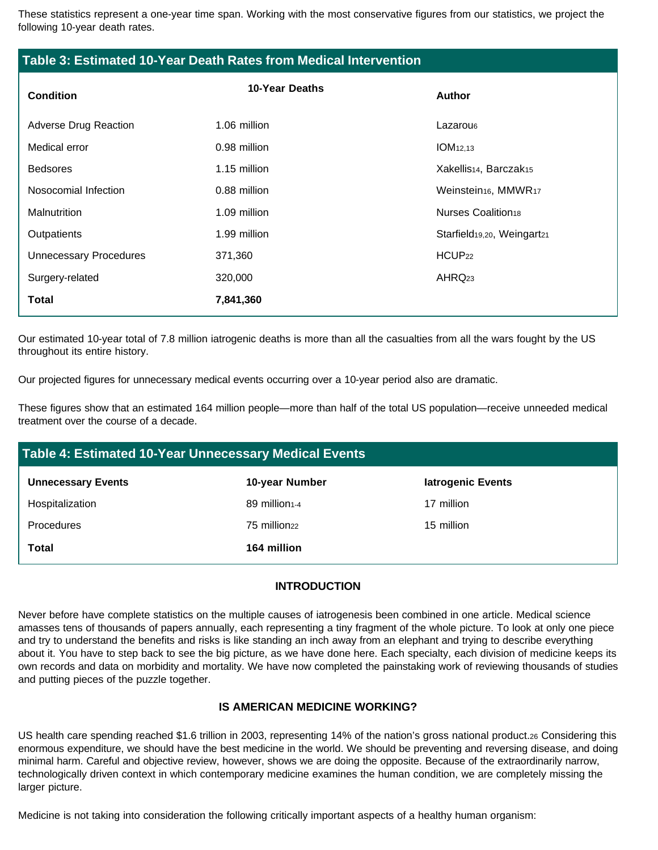These statistics represent a one-year time span. Working with the most conservative figures from our statistics, we project the following 10-year death rates.

| Table 3: Estimated 10-Year Death Rates from Medical Intervention |
|------------------------------------------------------------------|
|------------------------------------------------------------------|

| <b>Condition</b>              | 10-Year Deaths | <b>Author</b>                                       |
|-------------------------------|----------------|-----------------------------------------------------|
| Adverse Drug Reaction         | 1.06 million   | Lazarou <sub>6</sub>                                |
| Medical error                 | 0.98 million   | <b>IOM</b> 12,13                                    |
| <b>Bedsores</b>               | 1.15 million   | Xakellis <sub>14</sub> , Barczak <sub>15</sub>      |
| Nosocomial Infection          | 0.88 million   | Weinstein <sub>16</sub> , MMWR <sub>17</sub>        |
| <b>Malnutrition</b>           | 1.09 million   | <b>Nurses Coalition18</b>                           |
| Outpatients                   | 1.99 million   | Starfield <sub>19,20</sub> , Weingart <sub>21</sub> |
| <b>Unnecessary Procedures</b> | 371,360        | HCUP <sub>22</sub>                                  |
| Surgery-related               | 320,000        | AHRQ <sub>23</sub>                                  |
| Total                         | 7,841,360      |                                                     |

Our estimated 10-year total of 7.8 million iatrogenic deaths is more than all the casualties from all the wars fought by the US throughout its entire history.

Our projected figures for unnecessary medical events occurring over a 10-year period also are dramatic.

These figures show that an estimated 164 million people—more than half of the total US population—receive unneeded medical treatment over the course of a decade.

| <b>Table 4: Estimated 10-Year Unnecessary Medical Events</b> |                           |                   |  |  |
|--------------------------------------------------------------|---------------------------|-------------------|--|--|
| <b>Unnecessary Events</b>                                    | 10-year Number            | latrogenic Events |  |  |
| Hospitalization                                              | 89 million <sub>1-4</sub> | 17 million        |  |  |
| Procedures                                                   | 75 million <sub>22</sub>  | 15 million        |  |  |
| Total                                                        | 164 million               |                   |  |  |

#### **INTRODUCTION**

Never before have complete statistics on the multiple causes of iatrogenesis been combined in one article. Medical science amasses tens of thousands of papers annually, each representing a tiny fragment of the whole picture. To look at only one piece and try to understand the benefits and risks is like standing an inch away from an elephant and trying to describe everything about it. You have to step back to see the big picture, as we have done here. Each specialty, each division of medicine keeps its own records and data on morbidity and mortality. We have now completed the painstaking work of reviewing thousands of studies and putting pieces of the puzzle together.

#### **IS AMERICAN MEDICINE WORKING?**

US health care spending reached \$1.6 trillion in 2003, representing 14% of the nation's gross national product.26 Considering this enormous expenditure, we should have the best medicine in the world. We should be preventing and reversing disease, and doing minimal harm. Careful and objective review, however, shows we are doing the opposite. Because of the extraordinarily narrow, technologically driven context in which contemporary medicine examines the human condition, we are completely missing the larger picture.

Medicine is not taking into consideration the following critically important aspects of a healthy human organism: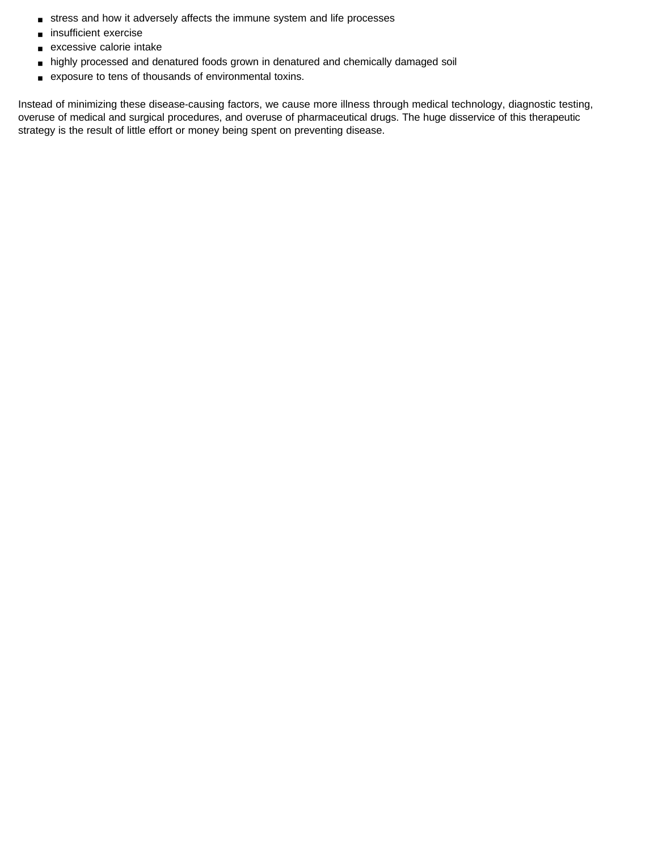- stress and how it adversely affects the immune system and life processes
- insufficient exercise
- excessive calorie intake
- highly processed and denatured foods grown in denatured and chemically damaged soil
- exposure to tens of thousands of environmental toxins.

Instead of minimizing these disease-causing factors, we cause more illness through medical technology, diagnostic testing, overuse of medical and surgical procedures, and overuse of pharmaceutical drugs. The huge disservice of this therapeutic strategy is the result of little effort or money being spent on preventing disease.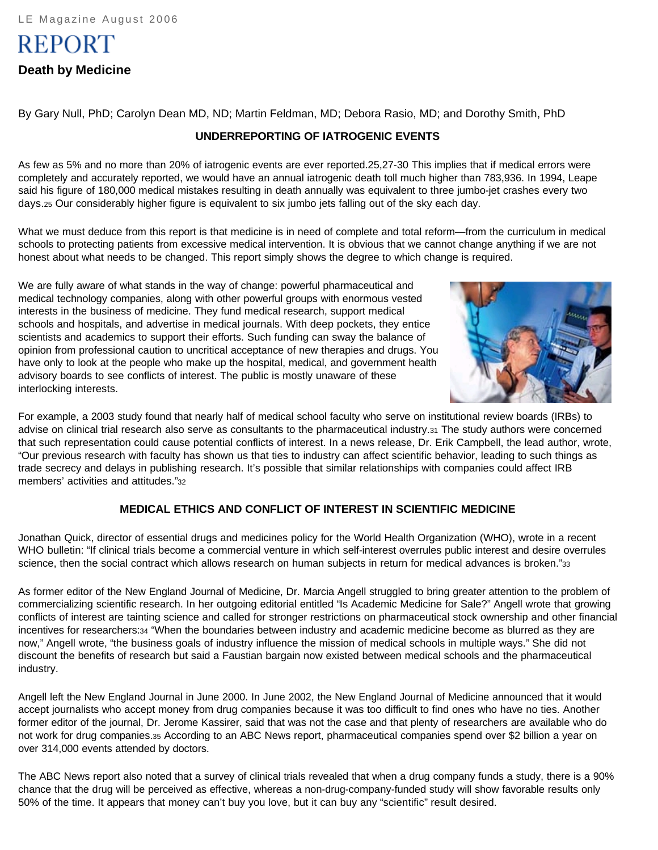## **REPORT Death by Medicine**

By Gary Null, PhD; Carolyn Dean MD, ND; Martin Feldman, MD; Debora Rasio, MD; and Dorothy Smith, PhD

#### **UNDERREPORTING OF IATROGENIC EVENTS**

As few as 5% and no more than 20% of iatrogenic events are ever reported.25,27-30 This implies that if medical errors were completely and accurately reported, we would have an annual iatrogenic death toll much higher than 783,936. In 1994, Leape said his figure of 180,000 medical mistakes resulting in death annually was equivalent to three jumbo-jet crashes every two days.25 Our considerably higher figure is equivalent to six jumbo jets falling out of the sky each day.

What we must deduce from this report is that medicine is in need of complete and total reform—from the curriculum in medical schools to protecting patients from excessive medical intervention. It is obvious that we cannot change anything if we are not honest about what needs to be changed. This report simply shows the degree to which change is required.

We are fully aware of what stands in the way of change: powerful pharmaceutical and medical technology companies, along with other powerful groups with enormous vested interests in the business of medicine. They fund medical research, support medical schools and hospitals, and advertise in medical journals. With deep pockets, they entice scientists and academics to support their efforts. Such funding can sway the balance of opinion from professional caution to uncritical acceptance of new therapies and drugs. You have only to look at the people who make up the hospital, medical, and government health advisory boards to see conflicts of interest. The public is mostly unaware of these interlocking interests.



For example, a 2003 study found that nearly half of medical school faculty who serve on institutional review boards (IRBs) to advise on clinical trial research also serve as consultants to the pharmaceutical industry.31 The study authors were concerned that such representation could cause potential conflicts of interest. In a news release, Dr. Erik Campbell, the lead author, wrote, "Our previous research with faculty has shown us that ties to industry can affect scientific behavior, leading to such things as trade secrecy and delays in publishing research. It's possible that similar relationships with companies could affect IRB members' activities and attitudes."<sup>32</sup>

#### **MEDICAL ETHICS AND CONFLICT OF INTEREST IN SCIENTIFIC MEDICINE**

Jonathan Quick, director of essential drugs and medicines policy for the World Health Organization (WHO), wrote in a recent WHO bulletin: "If clinical trials become a commercial venture in which self-interest overrules public interest and desire overrules science, then the social contract which allows research on human subjects in return for medical advances is broken."<sup>33</sup>

As former editor of the New England Journal of Medicine, Dr. Marcia Angell struggled to bring greater attention to the problem of commercializing scientific research. In her outgoing editorial entitled "Is Academic Medicine for Sale?" Angell wrote that growing conflicts of interest are tainting science and called for stronger restrictions on pharmaceutical stock ownership and other financial incentives for researchers:<sup>34</sup> "When the boundaries between industry and academic medicine become as blurred as they are now," Angell wrote, "the business goals of industry influence the mission of medical schools in multiple ways." She did not discount the benefits of research but said a Faustian bargain now existed between medical schools and the pharmaceutical industry.

Angell left the New England Journal in June 2000. In June 2002, the New England Journal of Medicine announced that it would accept journalists who accept money from drug companies because it was too difficult to find ones who have no ties. Another former editor of the journal, Dr. Jerome Kassirer, said that was not the case and that plenty of researchers are available who do not work for drug companies.35 According to an ABC News report, pharmaceutical companies spend over \$2 billion a year on over 314,000 events attended by doctors.

The ABC News report also noted that a survey of clinical trials revealed that when a drug company funds a study, there is a 90% chance that the drug will be perceived as effective, whereas a non-drug-company-funded study will show favorable results only 50% of the time. It appears that money can't buy you love, but it can buy any "scientific" result desired.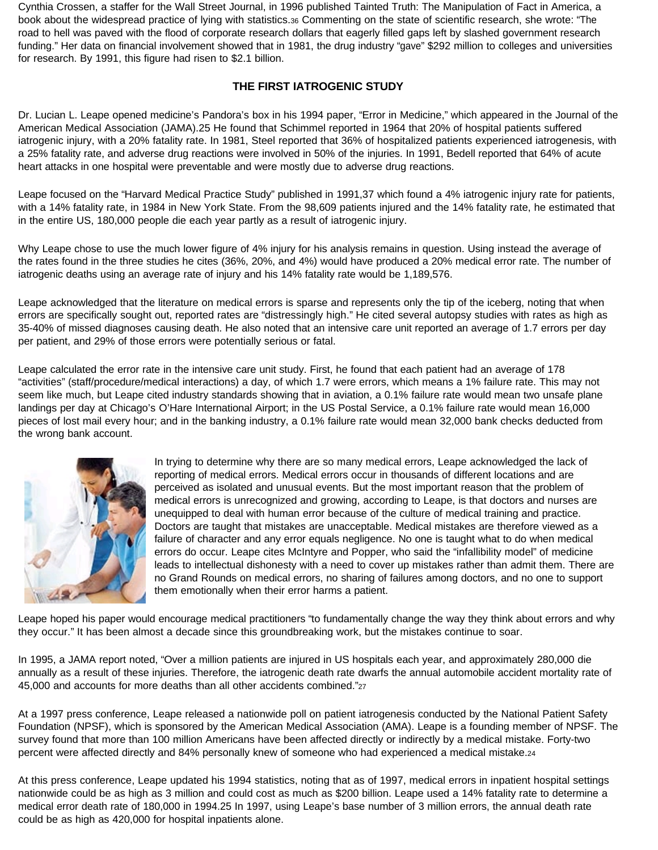Cynthia Crossen, a staffer for the Wall Street Journal, in 1996 published Tainted Truth: The Manipulation of Fact in America, a book about the widespread practice of lying with statistics.36 Commenting on the state of scientific research, she wrote: "The road to hell was paved with the flood of corporate research dollars that eagerly filled gaps left by slashed government research funding." Her data on financial involvement showed that in 1981, the drug industry "gave" \$292 million to colleges and universities for research. By 1991, this figure had risen to \$2.1 billion.

#### **THE FIRST IATROGENIC STUDY**

Dr. Lucian L. Leape opened medicine's Pandora's box in his 1994 paper, "Error in Medicine," which appeared in the Journal of the American Medical Association (JAMA).25 He found that Schimmel reported in 1964 that 20% of hospital patients suffered iatrogenic injury, with a 20% fatality rate. In 1981, Steel reported that 36% of hospitalized patients experienced iatrogenesis, with a 25% fatality rate, and adverse drug reactions were involved in 50% of the injuries. In 1991, Bedell reported that 64% of acute heart attacks in one hospital were preventable and were mostly due to adverse drug reactions.

Leape focused on the "Harvard Medical Practice Study" published in 1991,37 which found a 4% iatrogenic injury rate for patients, with a 14% fatality rate, in 1984 in New York State. From the 98,609 patients injured and the 14% fatality rate, he estimated that in the entire US, 180,000 people die each year partly as a result of iatrogenic injury.

Why Leape chose to use the much lower figure of 4% injury for his analysis remains in question. Using instead the average of the rates found in the three studies he cites (36%, 20%, and 4%) would have produced a 20% medical error rate. The number of iatrogenic deaths using an average rate of injury and his 14% fatality rate would be 1,189,576.

Leape acknowledged that the literature on medical errors is sparse and represents only the tip of the iceberg, noting that when errors are specifically sought out, reported rates are "distressingly high." He cited several autopsy studies with rates as high as 35-40% of missed diagnoses causing death. He also noted that an intensive care unit reported an average of 1.7 errors per day per patient, and 29% of those errors were potentially serious or fatal.

Leape calculated the error rate in the intensive care unit study. First, he found that each patient had an average of 178 "activities" (staff/procedure/medical interactions) a day, of which 1.7 were errors, which means a 1% failure rate. This may not seem like much, but Leape cited industry standards showing that in aviation, a 0.1% failure rate would mean two unsafe plane landings per day at Chicago's O'Hare International Airport; in the US Postal Service, a 0.1% failure rate would mean 16,000 pieces of lost mail every hour; and in the banking industry, a 0.1% failure rate would mean 32,000 bank checks deducted from the wrong bank account.



In trying to determine why there are so many medical errors, Leape acknowledged the lack of reporting of medical errors. Medical errors occur in thousands of different locations and are perceived as isolated and unusual events. But the most important reason that the problem of medical errors is unrecognized and growing, according to Leape, is that doctors and nurses are unequipped to deal with human error because of the culture of medical training and practice. Doctors are taught that mistakes are unacceptable. Medical mistakes are therefore viewed as a failure of character and any error equals negligence. No one is taught what to do when medical errors do occur. Leape cites McIntyre and Popper, who said the "infallibility model" of medicine leads to intellectual dishonesty with a need to cover up mistakes rather than admit them. There are no Grand Rounds on medical errors, no sharing of failures among doctors, and no one to support them emotionally when their error harms a patient.

Leape hoped his paper would encourage medical practitioners "to fundamentally change the way they think about errors and why they occur." It has been almost a decade since this groundbreaking work, but the mistakes continue to soar.

In 1995, a JAMA report noted, "Over a million patients are injured in US hospitals each year, and approximately 280,000 die annually as a result of these injuries. Therefore, the iatrogenic death rate dwarfs the annual automobile accident mortality rate of 45,000 and accounts for more deaths than all other accidents combined."<sup>27</sup>

At a 1997 press conference, Leape released a nationwide poll on patient iatrogenesis conducted by the National Patient Safety Foundation (NPSF), which is sponsored by the American Medical Association (AMA). Leape is a founding member of NPSF. The survey found that more than 100 million Americans have been affected directly or indirectly by a medical mistake. Forty-two percent were affected directly and 84% personally knew of someone who had experienced a medical mistake.<sup>24</sup>

At this press conference, Leape updated his 1994 statistics, noting that as of 1997, medical errors in inpatient hospital settings nationwide could be as high as 3 million and could cost as much as \$200 billion. Leape used a 14% fatality rate to determine a medical error death rate of 180,000 in 1994.25 In 1997, using Leape's base number of 3 million errors, the annual death rate could be as high as 420,000 for hospital inpatients alone.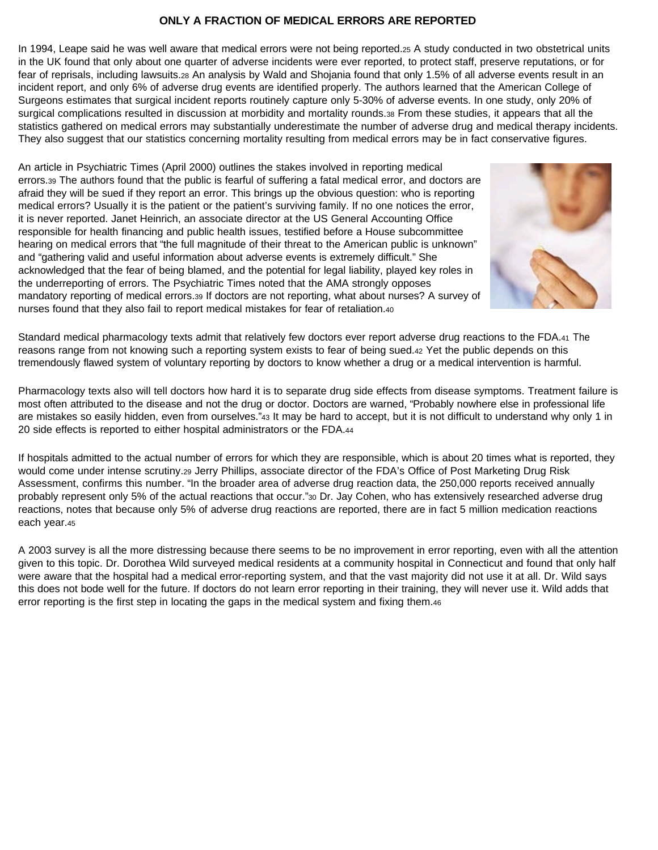#### **ONLY A FRACTION OF MEDICAL ERRORS ARE REPORTED**

In 1994, Leape said he was well aware that medical errors were not being reported.25 A study conducted in two obstetrical units in the UK found that only about one quarter of adverse incidents were ever reported, to protect staff, preserve reputations, or for fear of reprisals, including lawsuits.28 An analysis by Wald and Shojania found that only 1.5% of all adverse events result in an incident report, and only 6% of adverse drug events are identified properly. The authors learned that the American College of Surgeons estimates that surgical incident reports routinely capture only 5-30% of adverse events. In one study, only 20% of surgical complications resulted in discussion at morbidity and mortality rounds.38 From these studies, it appears that all the statistics gathered on medical errors may substantially underestimate the number of adverse drug and medical therapy incidents. They also suggest that our statistics concerning mortality resulting from medical errors may be in fact conservative figures.

An article in Psychiatric Times (April 2000) outlines the stakes involved in reporting medical errors.39 The authors found that the public is fearful of suffering a fatal medical error, and doctors are afraid they will be sued if they report an error. This brings up the obvious question: who is reporting medical errors? Usually it is the patient or the patient's surviving family. If no one notices the error, it is never reported. Janet Heinrich, an associate director at the US General Accounting Office responsible for health financing and public health issues, testified before a House subcommittee hearing on medical errors that "the full magnitude of their threat to the American public is unknown" and "gathering valid and useful information about adverse events is extremely difficult." She acknowledged that the fear of being blamed, and the potential for legal liability, played key roles in the underreporting of errors. The Psychiatric Times noted that the AMA strongly opposes mandatory reporting of medical errors.39 If doctors are not reporting, what about nurses? A survey of nurses found that they also fail to report medical mistakes for fear of retaliation.<sup>40</sup>



Standard medical pharmacology texts admit that relatively few doctors ever report adverse drug reactions to the FDA.41 The reasons range from not knowing such a reporting system exists to fear of being sued.42 Yet the public depends on this tremendously flawed system of voluntary reporting by doctors to know whether a drug or a medical intervention is harmful.

Pharmacology texts also will tell doctors how hard it is to separate drug side effects from disease symptoms. Treatment failure is most often attributed to the disease and not the drug or doctor. Doctors are warned, "Probably nowhere else in professional life are mistakes so easily hidden, even from ourselves."43 It may be hard to accept, but it is not difficult to understand why only 1 in 20 side effects is reported to either hospital administrators or the FDA.<sup>44</sup>

If hospitals admitted to the actual number of errors for which they are responsible, which is about 20 times what is reported, they would come under intense scrutiny.29 Jerry Phillips, associate director of the FDA's Office of Post Marketing Drug Risk Assessment, confirms this number. "In the broader area of adverse drug reaction data, the 250,000 reports received annually probably represent only 5% of the actual reactions that occur."30 Dr. Jay Cohen, who has extensively researched adverse drug reactions, notes that because only 5% of adverse drug reactions are reported, there are in fact 5 million medication reactions each year.<sup>45</sup>

A 2003 survey is all the more distressing because there seems to be no improvement in error reporting, even with all the attention given to this topic. Dr. Dorothea Wild surveyed medical residents at a community hospital in Connecticut and found that only half were aware that the hospital had a medical error-reporting system, and that the vast majority did not use it at all. Dr. Wild says this does not bode well for the future. If doctors do not learn error reporting in their training, they will never use it. Wild adds that error reporting is the first step in locating the gaps in the medical system and fixing them.46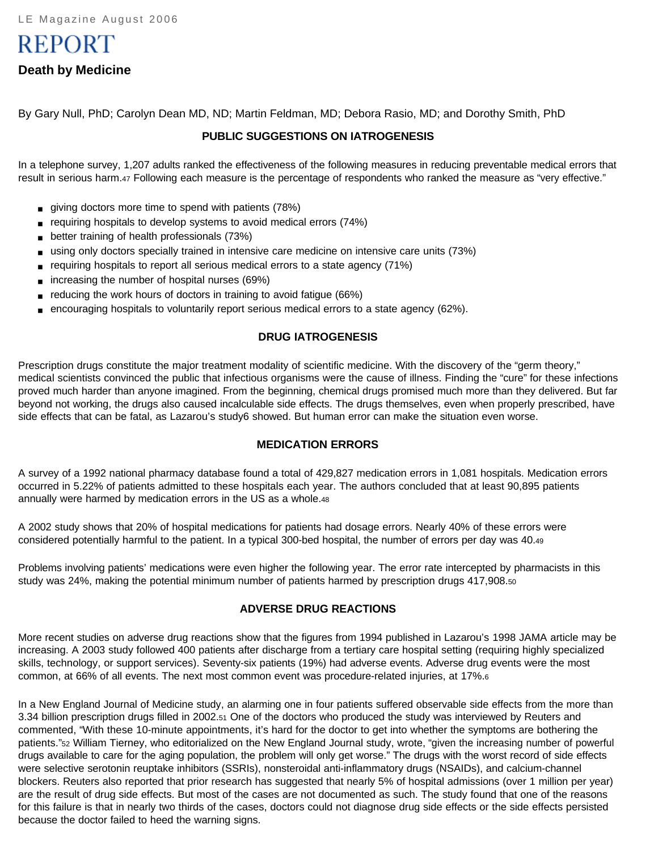## **REPORT**

#### **Death by Medicine**

By Gary Null, PhD; Carolyn Dean MD, ND; Martin Feldman, MD; Debora Rasio, MD; and Dorothy Smith, PhD

#### **PUBLIC SUGGESTIONS ON IATROGENESIS**

In a telephone survey, 1,207 adults ranked the effectiveness of the following measures in reducing preventable medical errors that result in serious harm.47 Following each measure is the percentage of respondents who ranked the measure as "very effective."

- giving doctors more time to spend with patients (78%)
- requiring hospitals to develop systems to avoid medical errors (74%)
- better training of health professionals (73%)
- using only doctors specially trained in intensive care medicine on intensive care units (73%)
- requiring hospitals to report all serious medical errors to a state agency (71%)
- increasing the number of hospital nurses (69%)
- reducing the work hours of doctors in training to avoid fatigue (66%)
- encouraging hospitals to voluntarily report serious medical errors to a state agency (62%).

#### **DRUG IATROGENESIS**

Prescription drugs constitute the major treatment modality of scientific medicine. With the discovery of the "germ theory," medical scientists convinced the public that infectious organisms were the cause of illness. Finding the "cure" for these infections proved much harder than anyone imagined. From the beginning, chemical drugs promised much more than they delivered. But far beyond not working, the drugs also caused incalculable side effects. The drugs themselves, even when properly prescribed, have side effects that can be fatal, as Lazarou's study6 showed. But human error can make the situation even worse.

#### **MEDICATION ERRORS**

A survey of a 1992 national pharmacy database found a total of 429,827 medication errors in 1,081 hospitals. Medication errors occurred in 5.22% of patients admitted to these hospitals each year. The authors concluded that at least 90,895 patients annually were harmed by medication errors in the US as a whole.<sup>48</sup>

A 2002 study shows that 20% of hospital medications for patients had dosage errors. Nearly 40% of these errors were considered potentially harmful to the patient. In a typical 300-bed hospital, the number of errors per day was 40.<sup>49</sup>

Problems involving patients' medications were even higher the following year. The error rate intercepted by pharmacists in this study was 24%, making the potential minimum number of patients harmed by prescription drugs 417,908.<sup>50</sup>

#### **ADVERSE DRUG REACTIONS**

More recent studies on adverse drug reactions show that the figures from 1994 published in Lazarou's 1998 JAMA article may be increasing. A 2003 study followed 400 patients after discharge from a tertiary care hospital setting (requiring highly specialized skills, technology, or support services). Seventy-six patients (19%) had adverse events. Adverse drug events were the most common, at 66% of all events. The next most common event was procedure-related injuries, at 17%.<sup>6</sup>

In a New England Journal of Medicine study, an alarming one in four patients suffered observable side effects from the more than 3.34 billion prescription drugs filled in 2002.51 One of the doctors who produced the study was interviewed by Reuters and commented, "With these 10-minute appointments, it's hard for the doctor to get into whether the symptoms are bothering the patients."52 William Tierney, who editorialized on the New England Journal study, wrote, "given the increasing number of powerful drugs available to care for the aging population, the problem will only get worse." The drugs with the worst record of side effects were selective serotonin reuptake inhibitors (SSRIs), nonsteroidal anti-inflammatory drugs (NSAIDs), and calcium-channel blockers. Reuters also reported that prior research has suggested that nearly 5% of hospital admissions (over 1 million per year) are the result of drug side effects. But most of the cases are not documented as such. The study found that one of the reasons for this failure is that in nearly two thirds of the cases, doctors could not diagnose drug side effects or the side effects persisted because the doctor failed to heed the warning signs.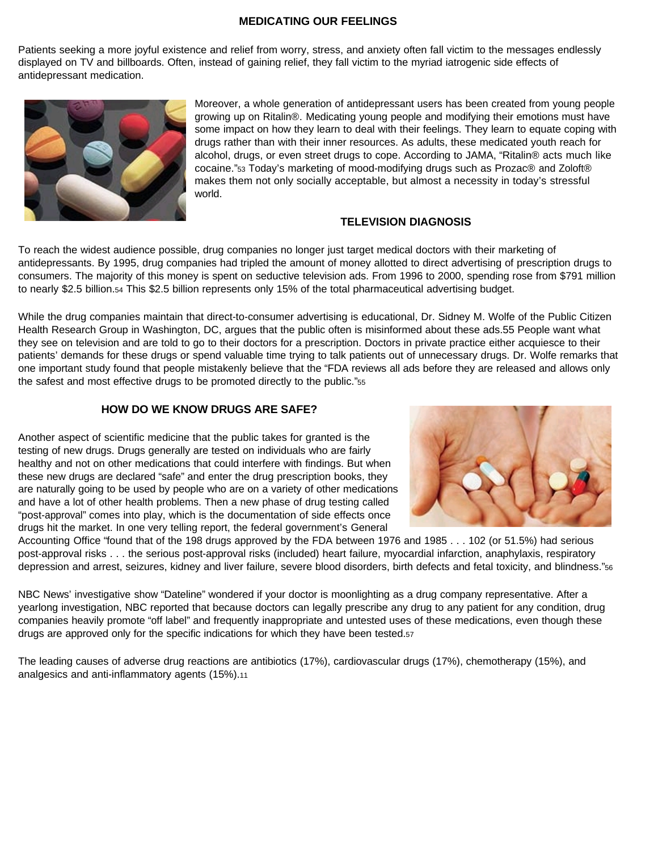#### **MEDICATING OUR FEELINGS**

Patients seeking a more joyful existence and relief from worry, stress, and anxiety often fall victim to the messages endlessly displayed on TV and billboards. Often, instead of gaining relief, they fall victim to the myriad iatrogenic side effects of antidepressant medication.



Moreover, a whole generation of antidepressant users has been created from young people growing up on Ritalin®. Medicating young people and modifying their emotions must have some impact on how they learn to deal with their feelings. They learn to equate coping with drugs rather than with their inner resources. As adults, these medicated youth reach for alcohol, drugs, or even street drugs to cope. According to JAMA, "Ritalin® acts much like cocaine."53 Today's marketing of mood-modifying drugs such as Prozac® and Zoloft® makes them not only socially acceptable, but almost a necessity in today's stressful world.

#### **TELEVISION DIAGNOSIS**

To reach the widest audience possible, drug companies no longer just target medical doctors with their marketing of antidepressants. By 1995, drug companies had tripled the amount of money allotted to direct advertising of prescription drugs to consumers. The majority of this money is spent on seductive television ads. From 1996 to 2000, spending rose from \$791 million to nearly \$2.5 billion.<sup>54</sup> This \$2.5 billion represents only 15% of the total pharmaceutical advertising budget.

While the drug companies maintain that direct-to-consumer advertising is educational, Dr. Sidney M. Wolfe of the Public Citizen Health Research Group in Washington, DC, argues that the public often is misinformed about these ads.55 People want what they see on television and are told to go to their doctors for a prescription. Doctors in private practice either acquiesce to their patients' demands for these drugs or spend valuable time trying to talk patients out of unnecessary drugs. Dr. Wolfe remarks that one important study found that people mistakenly believe that the "FDA reviews all ads before they are released and allows only the safest and most effective drugs to be promoted directly to the public."<sup>55</sup>

#### **HOW DO WE KNOW DRUGS ARE SAFE?**

Another aspect of scientific medicine that the public takes for granted is the testing of new drugs. Drugs generally are tested on individuals who are fairly healthy and not on other medications that could interfere with findings. But when these new drugs are declared "safe" and enter the drug prescription books, they are naturally going to be used by people who are on a variety of other medications and have a lot of other health problems. Then a new phase of drug testing called "post-approval" comes into play, which is the documentation of side effects once drugs hit the market. In one very telling report, the federal government's General



Accounting Office "found that of the 198 drugs approved by the FDA between 1976 and 1985 . . . 102 (or 51.5%) had serious post-approval risks . . . the serious post-approval risks (included) heart failure, myocardial infarction, anaphylaxis, respiratory depression and arrest, seizures, kidney and liver failure, severe blood disorders, birth defects and fetal toxicity, and blindness."<sup>56</sup>

NBC News' investigative show "Dateline" wondered if your doctor is moonlighting as a drug company representative. After a yearlong investigation, NBC reported that because doctors can legally prescribe any drug to any patient for any condition, drug companies heavily promote "off label" and frequently inappropriate and untested uses of these medications, even though these drugs are approved only for the specific indications for which they have been tested.<sup>57</sup>

The leading causes of adverse drug reactions are antibiotics (17%), cardiovascular drugs (17%), chemotherapy (15%), and analgesics and anti-inflammatory agents (15%).11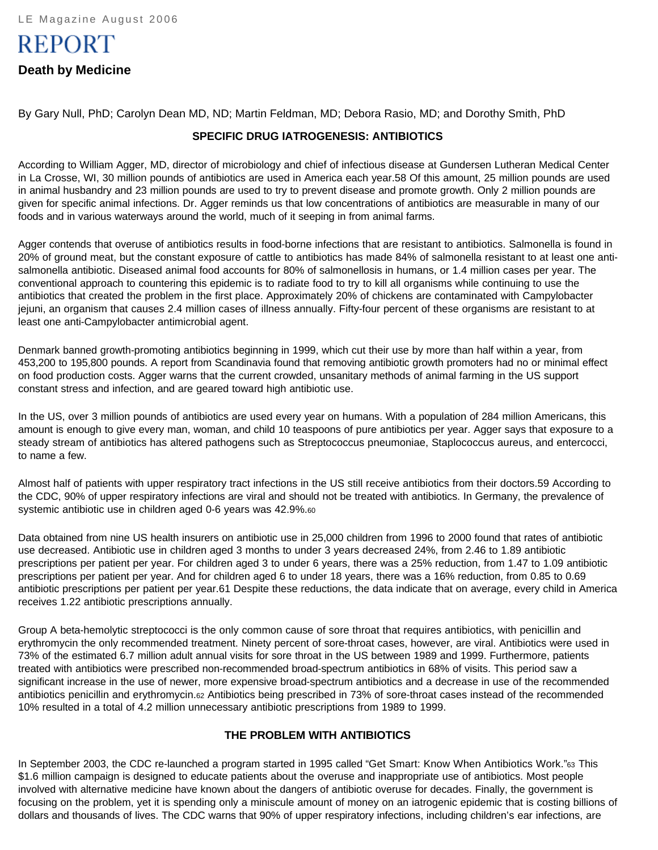## **REPORT Death by Medicine**

By Gary Null, PhD; Carolyn Dean MD, ND; Martin Feldman, MD; Debora Rasio, MD; and Dorothy Smith, PhD

#### **SPECIFIC DRUG IATROGENESIS: ANTIBIOTICS**

According to William Agger, MD, director of microbiology and chief of infectious disease at Gundersen Lutheran Medical Center in La Crosse, WI, 30 million pounds of antibiotics are used in America each year.58 Of this amount, 25 million pounds are used in animal husbandry and 23 million pounds are used to try to prevent disease and promote growth. Only 2 million pounds are given for specific animal infections. Dr. Agger reminds us that low concentrations of antibiotics are measurable in many of our foods and in various waterways around the world, much of it seeping in from animal farms.

Agger contends that overuse of antibiotics results in food-borne infections that are resistant to antibiotics. Salmonella is found in 20% of ground meat, but the constant exposure of cattle to antibiotics has made 84% of salmonella resistant to at least one antisalmonella antibiotic. Diseased animal food accounts for 80% of salmonellosis in humans, or 1.4 million cases per year. The conventional approach to countering this epidemic is to radiate food to try to kill all organisms while continuing to use the antibiotics that created the problem in the first place. Approximately 20% of chickens are contaminated with Campylobacter jejuni, an organism that causes 2.4 million cases of illness annually. Fifty-four percent of these organisms are resistant to at least one anti-Campylobacter antimicrobial agent.

Denmark banned growth-promoting antibiotics beginning in 1999, which cut their use by more than half within a year, from 453,200 to 195,800 pounds. A report from Scandinavia found that removing antibiotic growth promoters had no or minimal effect on food production costs. Agger warns that the current crowded, unsanitary methods of animal farming in the US support constant stress and infection, and are geared toward high antibiotic use.

In the US, over 3 million pounds of antibiotics are used every year on humans. With a population of 284 million Americans, this amount is enough to give every man, woman, and child 10 teaspoons of pure antibiotics per year. Agger says that exposure to a steady stream of antibiotics has altered pathogens such as Streptococcus pneumoniae, Staplococcus aureus, and entercocci, to name a few.

Almost half of patients with upper respiratory tract infections in the US still receive antibiotics from their doctors.59 According to the CDC, 90% of upper respiratory infections are viral and should not be treated with antibiotics. In Germany, the prevalence of systemic antibiotic use in children aged 0-6 years was 42.9%.60

Data obtained from nine US health insurers on antibiotic use in 25,000 children from 1996 to 2000 found that rates of antibiotic use decreased. Antibiotic use in children aged 3 months to under 3 years decreased 24%, from 2.46 to 1.89 antibiotic prescriptions per patient per year. For children aged 3 to under 6 years, there was a 25% reduction, from 1.47 to 1.09 antibiotic prescriptions per patient per year. And for children aged 6 to under 18 years, there was a 16% reduction, from 0.85 to 0.69 antibiotic prescriptions per patient per year.61 Despite these reductions, the data indicate that on average, every child in America receives 1.22 antibiotic prescriptions annually.

Group A beta-hemolytic streptococci is the only common cause of sore throat that requires antibiotics, with penicillin and erythromycin the only recommended treatment. Ninety percent of sore-throat cases, however, are viral. Antibiotics were used in 73% of the estimated 6.7 million adult annual visits for sore throat in the US between 1989 and 1999. Furthermore, patients treated with antibiotics were prescribed non-recommended broad-spectrum antibiotics in 68% of visits. This period saw a significant increase in the use of newer, more expensive broad-spectrum antibiotics and a decrease in use of the recommended antibiotics penicillin and erythromycin.62 Antibiotics being prescribed in 73% of sore-throat cases instead of the recommended 10% resulted in a total of 4.2 million unnecessary antibiotic prescriptions from 1989 to 1999.

#### **THE PROBLEM WITH ANTIBIOTICS**

In September 2003, the CDC re-launched a program started in 1995 called "Get Smart: Know When Antibiotics Work."63 This \$1.6 million campaign is designed to educate patients about the overuse and inappropriate use of antibiotics. Most people involved with alternative medicine have known about the dangers of antibiotic overuse for decades. Finally, the government is focusing on the problem, yet it is spending only a miniscule amount of money on an iatrogenic epidemic that is costing billions of dollars and thousands of lives. The CDC warns that 90% of upper respiratory infections, including children's ear infections, are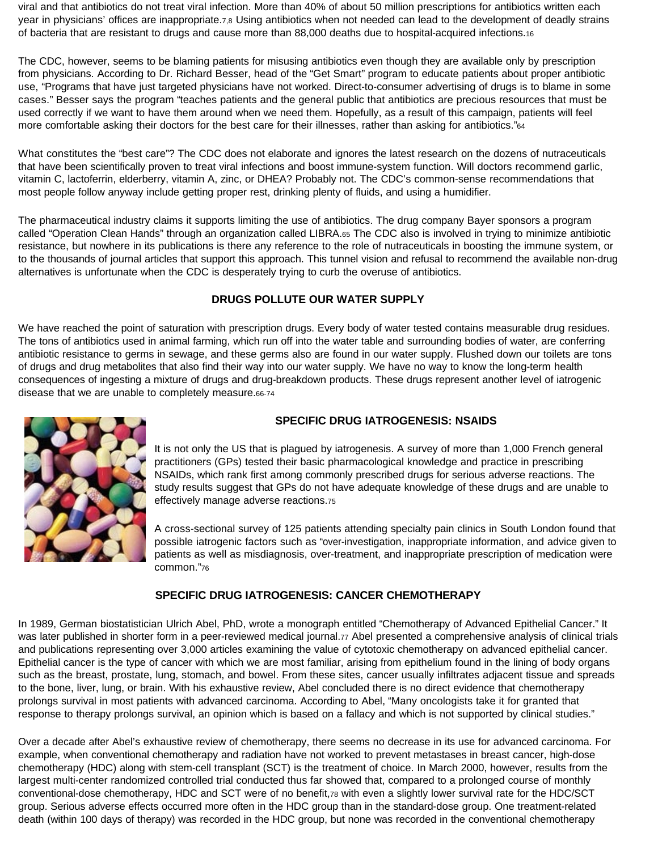viral and that antibiotics do not treat viral infection. More than 40% of about 50 million prescriptions for antibiotics written each year in physicians' offices are inappropriate.7,8 Using antibiotics when not needed can lead to the development of deadly strains of bacteria that are resistant to drugs and cause more than 88,000 deaths due to hospital-acquired infections.<sup>16</sup>

The CDC, however, seems to be blaming patients for misusing antibiotics even though they are available only by prescription from physicians. According to Dr. Richard Besser, head of the "Get Smart" program to educate patients about proper antibiotic use, "Programs that have just targeted physicians have not worked. Direct-to-consumer advertising of drugs is to blame in some cases." Besser says the program "teaches patients and the general public that antibiotics are precious resources that must be used correctly if we want to have them around when we need them. Hopefully, as a result of this campaign, patients will feel more comfortable asking their doctors for the best care for their illnesses, rather than asking for antibiotics."<sup>64</sup>

What constitutes the "best care"? The CDC does not elaborate and ignores the latest research on the dozens of nutraceuticals that have been scientifically proven to treat viral infections and boost immune-system function. Will doctors recommend garlic, vitamin C, lactoferrin, elderberry, vitamin A, zinc, or DHEA? Probably not. The CDC's common-sense recommendations that most people follow anyway include getting proper rest, drinking plenty of fluids, and using a humidifier.

The pharmaceutical industry claims it supports limiting the use of antibiotics. The drug company Bayer sponsors a program called "Operation Clean Hands" through an organization called LIBRA.65 The CDC also is involved in trying to minimize antibiotic resistance, but nowhere in its publications is there any reference to the role of nutraceuticals in boosting the immune system, or to the thousands of journal articles that support this approach. This tunnel vision and refusal to recommend the available non-drug alternatives is unfortunate when the CDC is desperately trying to curb the overuse of antibiotics.

#### **DRUGS POLLUTE OUR WATER SUPPLY**

We have reached the point of saturation with prescription drugs. Every body of water tested contains measurable drug residues. The tons of antibiotics used in animal farming, which run off into the water table and surrounding bodies of water, are conferring antibiotic resistance to germs in sewage, and these germs also are found in our water supply. Flushed down our toilets are tons of drugs and drug metabolites that also find their way into our water supply. We have no way to know the long-term health consequences of ingesting a mixture of drugs and drug-breakdown products. These drugs represent another level of iatrogenic disease that we are unable to completely measure.66-74



#### **SPECIFIC DRUG IATROGENESIS: NSAIDS**

It is not only the US that is plagued by iatrogenesis. A survey of more than 1,000 French general practitioners (GPs) tested their basic pharmacological knowledge and practice in prescribing NSAIDs, which rank first among commonly prescribed drugs for serious adverse reactions. The study results suggest that GPs do not have adequate knowledge of these drugs and are unable to effectively manage adverse reactions.75

A cross-sectional survey of 125 patients attending specialty pain clinics in South London found that possible iatrogenic factors such as "over-investigation, inappropriate information, and advice given to patients as well as misdiagnosis, over-treatment, and inappropriate prescription of medication were common."<sup>76</sup>

#### **SPECIFIC DRUG IATROGENESIS: CANCER CHEMOTHERAPY**

In 1989, German biostatistician Ulrich Abel, PhD, wrote a monograph entitled "Chemotherapy of Advanced Epithelial Cancer." It was later published in shorter form in a peer-reviewed medical journal.77 Abel presented a comprehensive analysis of clinical trials and publications representing over 3,000 articles examining the value of cytotoxic chemotherapy on advanced epithelial cancer. Epithelial cancer is the type of cancer with which we are most familiar, arising from epithelium found in the lining of body organs such as the breast, prostate, lung, stomach, and bowel. From these sites, cancer usually infiltrates adjacent tissue and spreads to the bone, liver, lung, or brain. With his exhaustive review, Abel concluded there is no direct evidence that chemotherapy prolongs survival in most patients with advanced carcinoma. According to Abel, "Many oncologists take it for granted that response to therapy prolongs survival, an opinion which is based on a fallacy and which is not supported by clinical studies."

Over a decade after Abel's exhaustive review of chemotherapy, there seems no decrease in its use for advanced carcinoma. For example, when conventional chemotherapy and radiation have not worked to prevent metastases in breast cancer, high-dose chemotherapy (HDC) along with stem-cell transplant (SCT) is the treatment of choice. In March 2000, however, results from the largest multi-center randomized controlled trial conducted thus far showed that, compared to a prolonged course of monthly conventional-dose chemotherapy, HDC and SCT were of no benefit,78 with even a slightly lower survival rate for the HDC/SCT group. Serious adverse effects occurred more often in the HDC group than in the standard-dose group. One treatment-related death (within 100 days of therapy) was recorded in the HDC group, but none was recorded in the conventional chemotherapy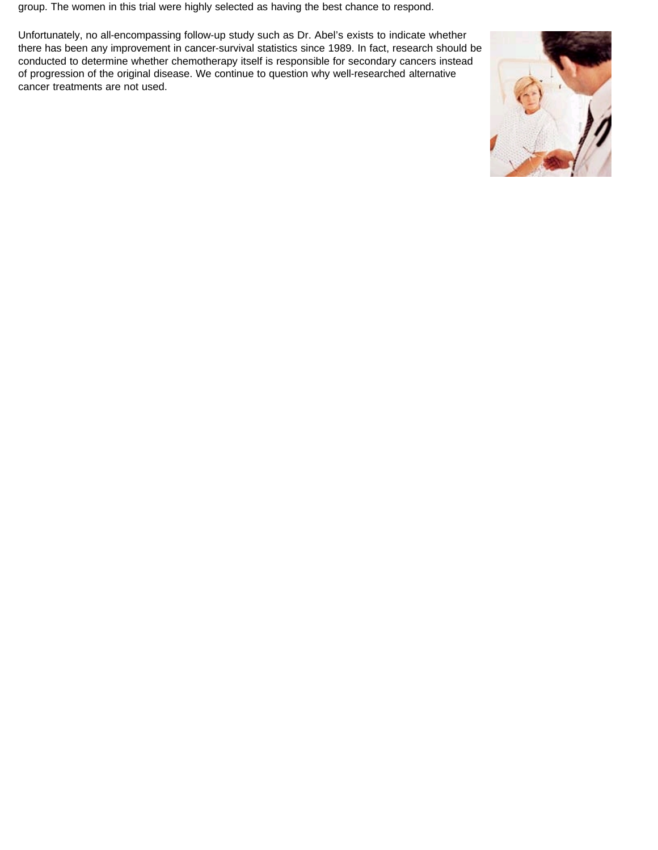group. The women in this trial were highly selected as having the best chance to respond.

Unfortunately, no all-encompassing follow-up study such as Dr. Abel's exists to indicate whether there has been any improvement in cancer-survival statistics since 1989. In fact, research should be conducted to determine whether chemotherapy itself is responsible for secondary cancers instead of progression of the original disease. We continue to question why well-researched alternative cancer treatments are not used.

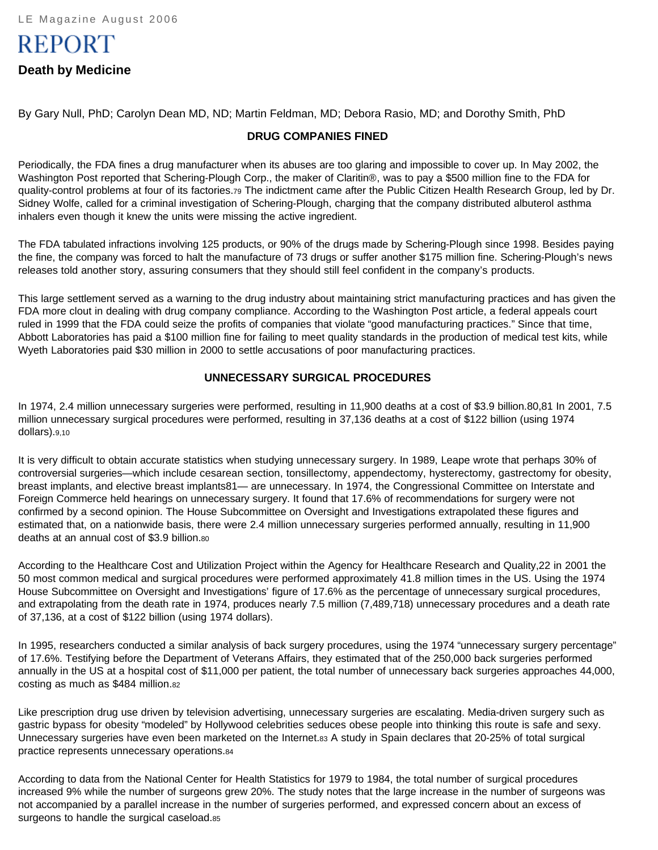LE Magazine August 2006

### **REPORT Death by Medicine**

By Gary Null, PhD; Carolyn Dean MD, ND; Martin Feldman, MD; Debora Rasio, MD; and Dorothy Smith, PhD

#### **DRUG COMPANIES FINED**

Periodically, the FDA fines a drug manufacturer when its abuses are too glaring and impossible to cover up. In May 2002, the Washington Post reported that Schering-Plough Corp., the maker of Claritin®, was to pay a \$500 million fine to the FDA for quality-control problems at four of its factories.79 The indictment came after the Public Citizen Health Research Group, led by Dr. Sidney Wolfe, called for a criminal investigation of Schering-Plough, charging that the company distributed albuterol asthma inhalers even though it knew the units were missing the active ingredient.

The FDA tabulated infractions involving 125 products, or 90% of the drugs made by Schering-Plough since 1998. Besides paying the fine, the company was forced to halt the manufacture of 73 drugs or suffer another \$175 million fine. Schering-Plough's news releases told another story, assuring consumers that they should still feel confident in the company's products.

This large settlement served as a warning to the drug industry about maintaining strict manufacturing practices and has given the FDA more clout in dealing with drug company compliance. According to the Washington Post article, a federal appeals court ruled in 1999 that the FDA could seize the profits of companies that violate "good manufacturing practices." Since that time, Abbott Laboratories has paid a \$100 million fine for failing to meet quality standards in the production of medical test kits, while Wyeth Laboratories paid \$30 million in 2000 to settle accusations of poor manufacturing practices.

#### **UNNECESSARY SURGICAL PROCEDURES**

In 1974, 2.4 million unnecessary surgeries were performed, resulting in 11,900 deaths at a cost of \$3.9 billion.80,81 In 2001, 7.5 million unnecessary surgical procedures were performed, resulting in 37,136 deaths at a cost of \$122 billion (using 1974 dollars).9,10

It is very difficult to obtain accurate statistics when studying unnecessary surgery. In 1989, Leape wrote that perhaps 30% of controversial surgeries—which include cesarean section, tonsillectomy, appendectomy, hysterectomy, gastrectomy for obesity, breast implants, and elective breast implants81— are unnecessary. In 1974, the Congressional Committee on Interstate and Foreign Commerce held hearings on unnecessary surgery. It found that 17.6% of recommendations for surgery were not confirmed by a second opinion. The House Subcommittee on Oversight and Investigations extrapolated these figures and estimated that, on a nationwide basis, there were 2.4 million unnecessary surgeries performed annually, resulting in 11,900 deaths at an annual cost of \$3.9 billion.<sup>80</sup>

According to the Healthcare Cost and Utilization Project within the Agency for Healthcare Research and Quality,22 in 2001 the 50 most common medical and surgical procedures were performed approximately 41.8 million times in the US. Using the 1974 House Subcommittee on Oversight and Investigations' figure of 17.6% as the percentage of unnecessary surgical procedures, and extrapolating from the death rate in 1974, produces nearly 7.5 million (7,489,718) unnecessary procedures and a death rate of 37,136, at a cost of \$122 billion (using 1974 dollars).

In 1995, researchers conducted a similar analysis of back surgery procedures, using the 1974 "unnecessary surgery percentage" of 17.6%. Testifying before the Department of Veterans Affairs, they estimated that of the 250,000 back surgeries performed annually in the US at a hospital cost of \$11,000 per patient, the total number of unnecessary back surgeries approaches 44,000, costing as much as \$484 million.<sup>82</sup>

Like prescription drug use driven by television advertising, unnecessary surgeries are escalating. Media-driven surgery such as gastric bypass for obesity "modeled" by Hollywood celebrities seduces obese people into thinking this route is safe and sexy. Unnecessary surgeries have even been marketed on the Internet.83 A study in Spain declares that 20-25% of total surgical practice represents unnecessary operations.<sup>84</sup>

According to data from the National Center for Health Statistics for 1979 to 1984, the total number of surgical procedures increased 9% while the number of surgeons grew 20%. The study notes that the large increase in the number of surgeons was not accompanied by a parallel increase in the number of surgeries performed, and expressed concern about an excess of surgeons to handle the surgical caseload.85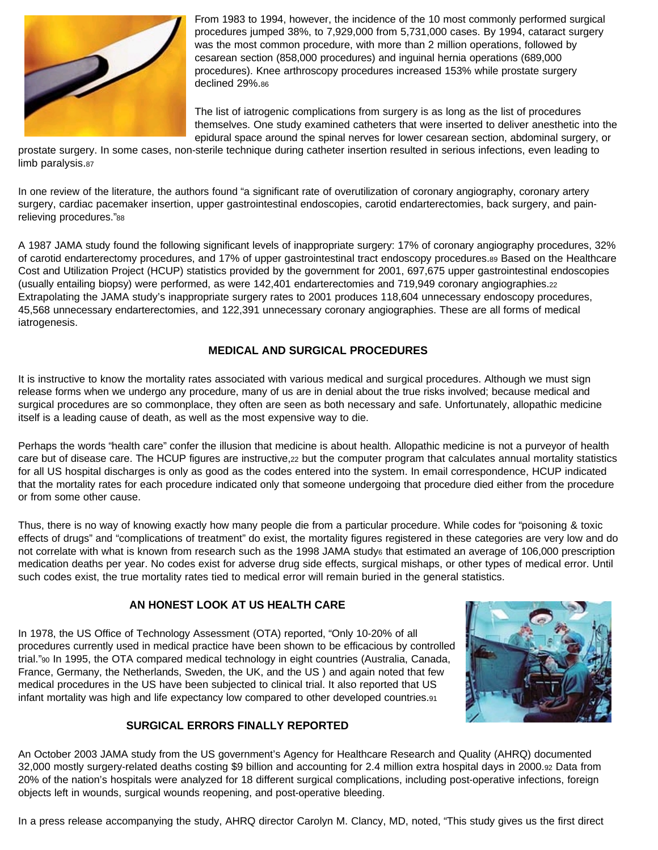

From 1983 to 1994, however, the incidence of the 10 most commonly performed surgical procedures jumped 38%, to 7,929,000 from 5,731,000 cases. By 1994, cataract surgery was the most common procedure, with more than 2 million operations, followed by cesarean section (858,000 procedures) and inguinal hernia operations (689,000 procedures). Knee arthroscopy procedures increased 153% while prostate surgery declined 29%.86

The list of iatrogenic complications from surgery is as long as the list of procedures themselves. One study examined catheters that were inserted to deliver anesthetic into the epidural space around the spinal nerves for lower cesarean section, abdominal surgery, or

prostate surgery. In some cases, non-sterile technique during catheter insertion resulted in serious infections, even leading to limb paralysis.<sup>87</sup>

In one review of the literature, the authors found "a significant rate of overutilization of coronary angiography, coronary artery surgery, cardiac pacemaker insertion, upper gastrointestinal endoscopies, carotid endarterectomies, back surgery, and painrelieving procedures."<sup>88</sup>

A 1987 JAMA study found the following significant levels of inappropriate surgery: 17% of coronary angiography procedures, 32% of carotid endarterectomy procedures, and 17% of upper gastrointestinal tract endoscopy procedures.89 Based on the Healthcare Cost and Utilization Project (HCUP) statistics provided by the government for 2001, 697,675 upper gastrointestinal endoscopies (usually entailing biopsy) were performed, as were 142,401 endarterectomies and 719,949 coronary angiographies.<sup>22</sup> Extrapolating the JAMA study's inappropriate surgery rates to 2001 produces 118,604 unnecessary endoscopy procedures, 45,568 unnecessary endarterectomies, and 122,391 unnecessary coronary angiographies. These are all forms of medical iatrogenesis.

#### **MEDICAL AND SURGICAL PROCEDURES**

It is instructive to know the mortality rates associated with various medical and surgical procedures. Although we must sign release forms when we undergo any procedure, many of us are in denial about the true risks involved; because medical and surgical procedures are so commonplace, they often are seen as both necessary and safe. Unfortunately, allopathic medicine itself is a leading cause of death, as well as the most expensive way to die.

Perhaps the words "health care" confer the illusion that medicine is about health. Allopathic medicine is not a purveyor of health care but of disease care. The HCUP figures are instructive, 22 but the computer program that calculates annual mortality statistics for all US hospital discharges is only as good as the codes entered into the system. In email correspondence, HCUP indicated that the mortality rates for each procedure indicated only that someone undergoing that procedure died either from the procedure or from some other cause.

Thus, there is no way of knowing exactly how many people die from a particular procedure. While codes for "poisoning & toxic effects of drugs" and "complications of treatment" do exist, the mortality figures registered in these categories are very low and do not correlate with what is known from research such as the 1998 JAMA study6 that estimated an average of 106,000 prescription medication deaths per year. No codes exist for adverse drug side effects, surgical mishaps, or other types of medical error. Until such codes exist, the true mortality rates tied to medical error will remain buried in the general statistics.

#### **AN HONEST LOOK AT US HEALTH CARE**

In 1978, the US Office of Technology Assessment (OTA) reported, "Only 10-20% of all procedures currently used in medical practice have been shown to be efficacious by controlled trial."90 In 1995, the OTA compared medical technology in eight countries (Australia, Canada, France, Germany, the Netherlands, Sweden, the UK, and the US ) and again noted that few medical procedures in the US have been subjected to clinical trial. It also reported that US infant mortality was high and life expectancy low compared to other developed countries.<sup>91</sup>



#### **SURGICAL ERRORS FINALLY REPORTED**

An October 2003 JAMA study from the US government's Agency for Healthcare Research and Quality (AHRQ) documented 32,000 mostly surgery-related deaths costing \$9 billion and accounting for 2.4 million extra hospital days in 2000.92 Data from 20% of the nation's hospitals were analyzed for 18 different surgical complications, including post-operative infections, foreign objects left in wounds, surgical wounds reopening, and post-operative bleeding.

In a press release accompanying the study, AHRQ director Carolyn M. Clancy, MD, noted, "This study gives us the first direct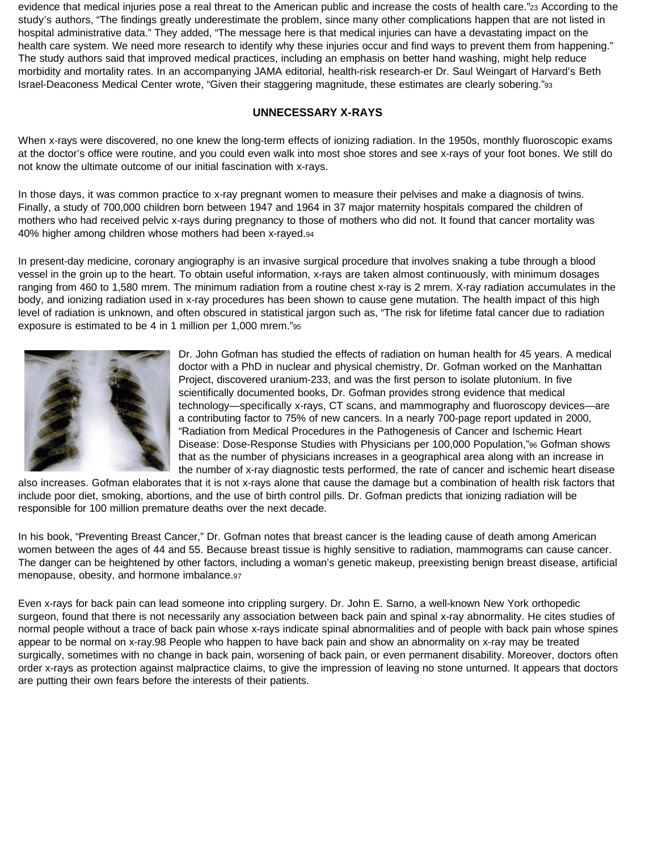evidence that medical injuries pose a real threat to the American public and increase the costs of health care."23 According to the study's authors, "The findings greatly underestimate the problem, since many other complications happen that are not listed in hospital administrative data." They added, "The message here is that medical injuries can have a devastating impact on the health care system. We need more research to identify why these injuries occur and find ways to prevent them from happening." The study authors said that improved medical practices, including an emphasis on better hand washing, might help reduce morbidity and mortality rates. In an accompanying JAMA editorial, health-risk research-er Dr. Saul Weingart of Harvard's Beth Israel-Deaconess Medical Center wrote, "Given their staggering magnitude, these estimates are clearly sobering."<sup>93</sup>

#### **UNNECESSARY X-RAYS**

When x-rays were discovered, no one knew the long-term effects of ionizing radiation. In the 1950s, monthly fluoroscopic exams at the doctor's office were routine, and you could even walk into most shoe stores and see x-rays of your foot bones. We still do not know the ultimate outcome of our initial fascination with x-rays.

In those days, it was common practice to x-ray pregnant women to measure their pelvises and make a diagnosis of twins. Finally, a study of 700,000 children born between 1947 and 1964 in 37 major maternity hospitals compared the children of mothers who had received pelvic x-rays during pregnancy to those of mothers who did not. It found that cancer mortality was 40% higher among children whose mothers had been x-rayed.<sup>94</sup>

In present-day medicine, coronary angiography is an invasive surgical procedure that involves snaking a tube through a blood vessel in the groin up to the heart. To obtain useful information, x-rays are taken almost continuously, with minimum dosages ranging from 460 to 1,580 mrem. The minimum radiation from a routine chest x-ray is 2 mrem. X-ray radiation accumulates in the body, and ionizing radiation used in x-ray procedures has been shown to cause gene mutation. The health impact of this high level of radiation is unknown, and often obscured in statistical jargon such as, "The risk for lifetime fatal cancer due to radiation exposure is estimated to be 4 in 1 million per 1,000 mrem."<sup>95</sup>



Dr. John Gofman has studied the effects of radiation on human health for 45 years. A medical doctor with a PhD in nuclear and physical chemistry, Dr. Gofman worked on the Manhattan Project, discovered uranium-233, and was the first person to isolate plutonium. In five scientifically documented books, Dr. Gofman provides strong evidence that medical technology—specifically x-rays, CT scans, and mammography and fluoroscopy devices—are a contributing factor to 75% of new cancers. In a nearly 700-page report updated in 2000, "Radiation from Medical Procedures in the Pathogenesis of Cancer and Ischemic Heart Disease: Dose-Response Studies with Physicians per 100,000 Population,"96 Gofman shows that as the number of physicians increases in a geographical area along with an increase in the number of x-ray diagnostic tests performed, the rate of cancer and ischemic heart disease

also increases. Gofman elaborates that it is not x-rays alone that cause the damage but a combination of health risk factors that include poor diet, smoking, abortions, and the use of birth control pills. Dr. Gofman predicts that ionizing radiation will be responsible for 100 million premature deaths over the next decade.

In his book, "Preventing Breast Cancer," Dr. Gofman notes that breast cancer is the leading cause of death among American women between the ages of 44 and 55. Because breast tissue is highly sensitive to radiation, mammograms can cause cancer. The danger can be heightened by other factors, including a woman's genetic makeup, preexisting benign breast disease, artificial menopause, obesity, and hormone imbalance.<sup>97</sup>

Even x-rays for back pain can lead someone into crippling surgery. Dr. John E. Sarno, a well-known New York orthopedic surgeon, found that there is not necessarily any association between back pain and spinal x-ray abnormality. He cites studies of normal people without a trace of back pain whose x-rays indicate spinal abnormalities and of people with back pain whose spines appear to be normal on x-ray.98 People who happen to have back pain and show an abnormality on x-ray may be treated surgically, sometimes with no change in back pain, worsening of back pain, or even permanent disability. Moreover, doctors often order x-rays as protection against malpractice claims, to give the impression of leaving no stone unturned. It appears that doctors are putting their own fears before the interests of their patients.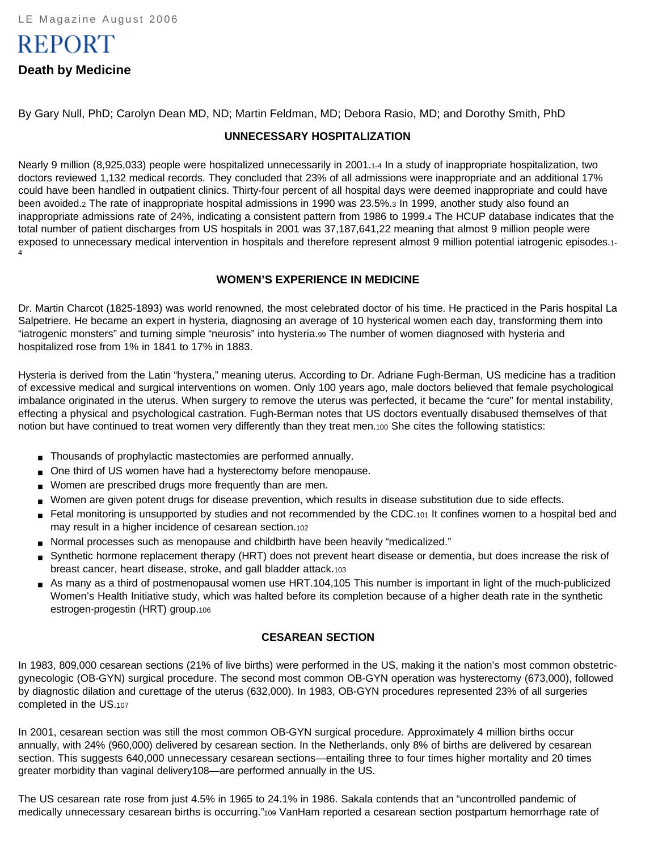## **REPORT Death by Medicine**

By Gary Null, PhD; Carolyn Dean MD, ND; Martin Feldman, MD; Debora Rasio, MD; and Dorothy Smith, PhD

#### **UNNECESSARY HOSPITALIZATION**

Nearly 9 million (8,925,033) people were hospitalized unnecessarily in 2001.<sub>1-4</sub> In a study of inappropriate hospitalization, two doctors reviewed 1,132 medical records. They concluded that 23% of all admissions were inappropriate and an additional 17% could have been handled in outpatient clinics. Thirty-four percent of all hospital days were deemed inappropriate and could have been avoided.2 The rate of inappropriate hospital admissions in 1990 was 23.5%.3 In 1999, another study also found an inappropriate admissions rate of 24%, indicating a consistent pattern from 1986 to 1999.4 The HCUP database indicates that the total number of patient discharges from US hospitals in 2001 was 37,187,641,22 meaning that almost 9 million people were exposed to unnecessary medical intervention in hospitals and therefore represent almost 9 million potential iatrogenic episodes.1- 4

#### **WOMEN'S EXPERIENCE IN MEDICINE**

Dr. Martin Charcot (1825-1893) was world renowned, the most celebrated doctor of his time. He practiced in the Paris hospital La Salpetriere. He became an expert in hysteria, diagnosing an average of 10 hysterical women each day, transforming them into "iatrogenic monsters" and turning simple "neurosis" into hysteria.99 The number of women diagnosed with hysteria and hospitalized rose from 1% in 1841 to 17% in 1883.

Hysteria is derived from the Latin "hystera," meaning uterus. According to Dr. Adriane Fugh-Berman, US medicine has a tradition of excessive medical and surgical interventions on women. Only 100 years ago, male doctors believed that female psychological imbalance originated in the uterus. When surgery to remove the uterus was perfected, it became the "cure" for mental instability, effecting a physical and psychological castration. Fugh-Berman notes that US doctors eventually disabused themselves of that notion but have continued to treat women very differently than they treat men.100 She cites the following statistics:

- Thousands of prophylactic mastectomies are performed annually.
- One third of US women have had a hysterectomy before menopause.
- Women are prescribed drugs more frequently than are men.
- Women are given potent drugs for disease prevention, which results in disease substitution due to side effects.
- Fetal monitoring is unsupported by studies and not recommended by the CDC.101 It confines women to a hospital bed and may result in a higher incidence of cesarean section.<sup>102</sup>
- Normal processes such as menopause and childbirth have been heavily "medicalized."
- Synthetic hormone replacement therapy (HRT) does not prevent heart disease or dementia, but does increase the risk of breast cancer, heart disease, stroke, and gall bladder attack.<sup>103</sup>
- As many as a third of postmenopausal women use HRT.104,105 This number is important in light of the much-publicized Women's Health Initiative study, which was halted before its completion because of a higher death rate in the synthetic estrogen-progestin (HRT) group.<sup>106</sup>

#### **CESAREAN SECTION**

In 1983, 809,000 cesarean sections (21% of live births) were performed in the US, making it the nation's most common obstetricgynecologic (OB-GYN) surgical procedure. The second most common OB-GYN operation was hysterectomy (673,000), followed by diagnostic dilation and curettage of the uterus (632,000). In 1983, OB-GYN procedures represented 23% of all surgeries completed in the US.<sup>107</sup>

In 2001, cesarean section was still the most common OB-GYN surgical procedure. Approximately 4 million births occur annually, with 24% (960,000) delivered by cesarean section. In the Netherlands, only 8% of births are delivered by cesarean section. This suggests 640,000 unnecessary cesarean sections—entailing three to four times higher mortality and 20 times greater morbidity than vaginal delivery108—are performed annually in the US.

The US cesarean rate rose from just 4.5% in 1965 to 24.1% in 1986. Sakala contends that an "uncontrolled pandemic of medically unnecessary cesarean births is occurring."109 VanHam reported a cesarean section postpartum hemorrhage rate of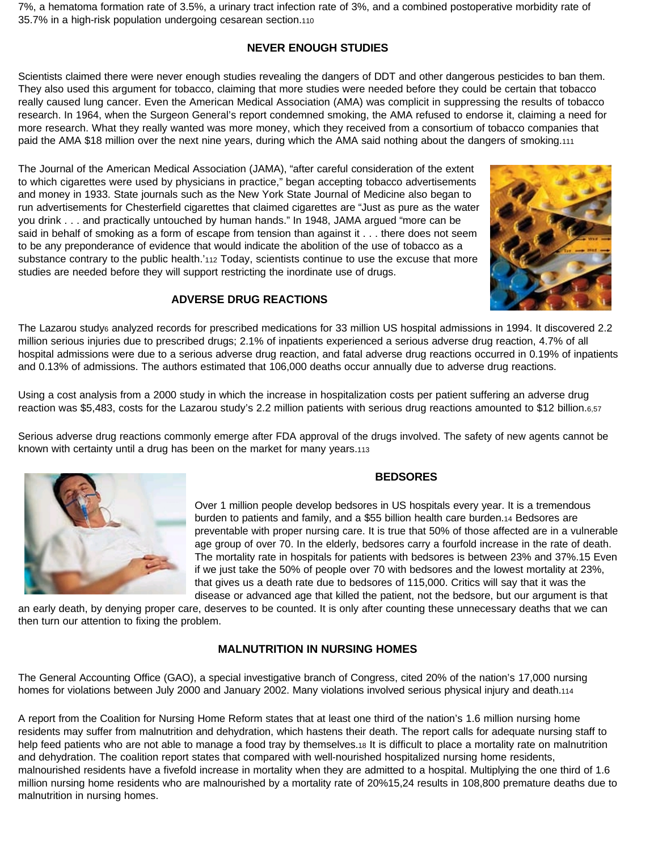7%, a hematoma formation rate of 3.5%, a urinary tract infection rate of 3%, and a combined postoperative morbidity rate of 35.7% in a high-risk population undergoing cesarean section.<sup>110</sup>

#### **NEVER ENOUGH STUDIES**

Scientists claimed there were never enough studies revealing the dangers of DDT and other dangerous pesticides to ban them. They also used this argument for tobacco, claiming that more studies were needed before they could be certain that tobacco really caused lung cancer. Even the American Medical Association (AMA) was complicit in suppressing the results of tobacco research. In 1964, when the Surgeon General's report condemned smoking, the AMA refused to endorse it, claiming a need for more research. What they really wanted was more money, which they received from a consortium of tobacco companies that paid the AMA \$18 million over the next nine years, during which the AMA said nothing about the dangers of smoking.<sup>111</sup>

The Journal of the American Medical Association (JAMA), "after careful consideration of the extent to which cigarettes were used by physicians in practice," began accepting tobacco advertisements and money in 1933. State journals such as the New York State Journal of Medicine also began to run advertisements for Chesterfield cigarettes that claimed cigarettes are "Just as pure as the water you drink . . . and practically untouched by human hands." In 1948, JAMA argued "more can be said in behalf of smoking as a form of escape from tension than against it . . . there does not seem to be any preponderance of evidence that would indicate the abolition of the use of tobacco as a substance contrary to the public health.'<sub>112</sub> Today, scientists continue to use the excuse that more studies are needed before they will support restricting the inordinate use of drugs.



#### **ADVERSE DRUG REACTIONS**

The Lazarou study<sub>6</sub> analyzed records for prescribed medications for 33 million US hospital admissions in 1994. It discovered 2.2 million serious injuries due to prescribed drugs; 2.1% of inpatients experienced a serious adverse drug reaction, 4.7% of all hospital admissions were due to a serious adverse drug reaction, and fatal adverse drug reactions occurred in 0.19% of inpatients and 0.13% of admissions. The authors estimated that 106,000 deaths occur annually due to adverse drug reactions.

Using a cost analysis from a 2000 study in which the increase in hospitalization costs per patient suffering an adverse drug reaction was \$5,483, costs for the Lazarou study's 2.2 million patients with serious drug reactions amounted to \$12 billion.6,57

Serious adverse drug reactions commonly emerge after FDA approval of the drugs involved. The safety of new agents cannot be known with certainty until a drug has been on the market for many years.<sup>113</sup>





Over 1 million people develop bedsores in US hospitals every year. It is a tremendous burden to patients and family, and a \$55 billion health care burden.14 Bedsores are preventable with proper nursing care. It is true that 50% of those affected are in a vulnerable age group of over 70. In the elderly, bedsores carry a fourfold increase in the rate of death. The mortality rate in hospitals for patients with bedsores is between 23% and 37%.15 Even if we just take the 50% of people over 70 with bedsores and the lowest mortality at 23%, that gives us a death rate due to bedsores of 115,000. Critics will say that it was the disease or advanced age that killed the patient, not the bedsore, but our argument is that

an early death, by denying proper care, deserves to be counted. It is only after counting these unnecessary deaths that we can then turn our attention to fixing the problem.

#### **MALNUTRITION IN NURSING HOMES**

The General Accounting Office (GAO), a special investigative branch of Congress, cited 20% of the nation's 17,000 nursing homes for violations between July 2000 and January 2002. Many violations involved serious physical injury and death.114

A report from the Coalition for Nursing Home Reform states that at least one third of the nation's 1.6 million nursing home residents may suffer from malnutrition and dehydration, which hastens their death. The report calls for adequate nursing staff to help feed patients who are not able to manage a food tray by themselves.18 It is difficult to place a mortality rate on malnutrition and dehydration. The coalition report states that compared with well-nourished hospitalized nursing home residents, malnourished residents have a fivefold increase in mortality when they are admitted to a hospital. Multiplying the one third of 1.6 million nursing home residents who are malnourished by a mortality rate of 20%15,24 results in 108,800 premature deaths due to malnutrition in nursing homes.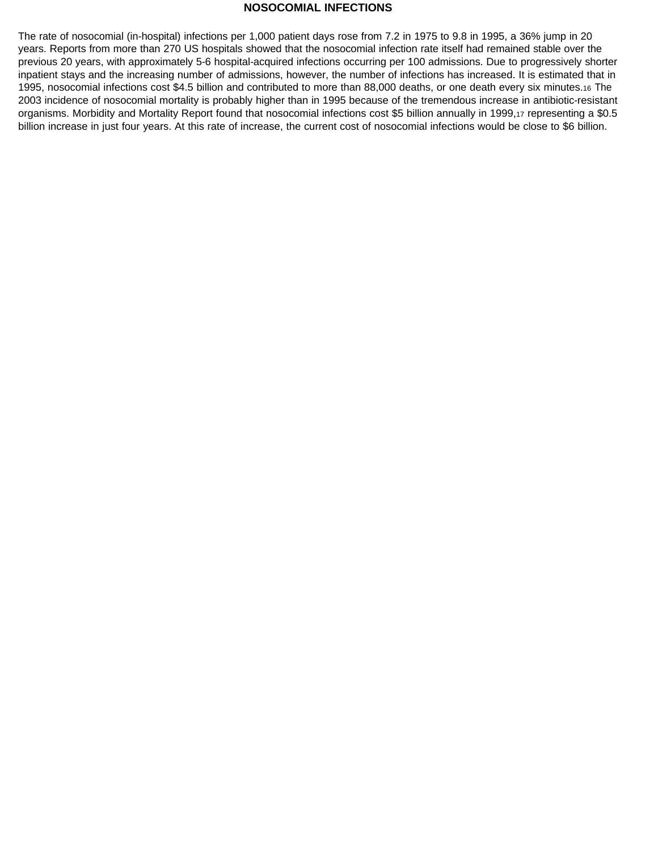#### **NOSOCOMIAL INFECTIONS**

The rate of nosocomial (in-hospital) infections per 1,000 patient days rose from 7.2 in 1975 to 9.8 in 1995, a 36% jump in 20 years. Reports from more than 270 US hospitals showed that the nosocomial infection rate itself had remained stable over the previous 20 years, with approximately 5-6 hospital-acquired infections occurring per 100 admissions. Due to progressively shorter inpatient stays and the increasing number of admissions, however, the number of infections has increased. It is estimated that in 1995, nosocomial infections cost \$4.5 billion and contributed to more than 88,000 deaths, or one death every six minutes.16 The 2003 incidence of nosocomial mortality is probably higher than in 1995 because of the tremendous increase in antibiotic-resistant organisms. Morbidity and Mortality Report found that nosocomial infections cost \$5 billion annually in 1999,17 representing a \$0.5 billion increase in just four years. At this rate of increase, the current cost of nosocomial infections would be close to \$6 billion.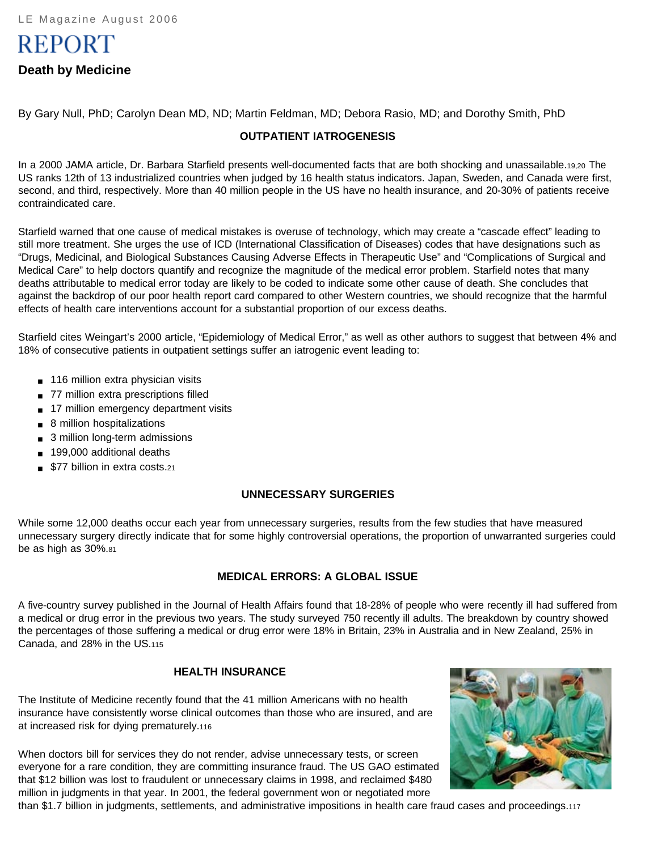LE Magazine August 2006

### **REPORT Death by Medicine**

By Gary Null, PhD; Carolyn Dean MD, ND; Martin Feldman, MD; Debora Rasio, MD; and Dorothy Smith, PhD

#### **OUTPATIENT IATROGENESIS**

In a 2000 JAMA article, Dr. Barbara Starfield presents well-documented facts that are both shocking and unassailable.19,20 The US ranks 12th of 13 industrialized countries when judged by 16 health status indicators. Japan, Sweden, and Canada were first, second, and third, respectively. More than 40 million people in the US have no health insurance, and 20-30% of patients receive contraindicated care.

Starfield warned that one cause of medical mistakes is overuse of technology, which may create a "cascade effect" leading to still more treatment. She urges the use of ICD (International Classification of Diseases) codes that have designations such as "Drugs, Medicinal, and Biological Substances Causing Adverse Effects in Therapeutic Use" and "Complications of Surgical and Medical Care" to help doctors quantify and recognize the magnitude of the medical error problem. Starfield notes that many deaths attributable to medical error today are likely to be coded to indicate some other cause of death. She concludes that against the backdrop of our poor health report card compared to other Western countries, we should recognize that the harmful effects of health care interventions account for a substantial proportion of our excess deaths.

Starfield cites Weingart's 2000 article, "Epidemiology of Medical Error," as well as other authors to suggest that between 4% and 18% of consecutive patients in outpatient settings suffer an iatrogenic event leading to:

- 116 million extra physician visits
- 77 million extra prescriptions filled
- 17 million emergency department visits
- 8 million hospitalizations
- 3 million long-term admissions
- 199,000 additional deaths
- \$77 billion in extra costs.21

#### **UNNECESSARY SURGERIES**

While some 12,000 deaths occur each year from unnecessary surgeries, results from the few studies that have measured unnecessary surgery directly indicate that for some highly controversial operations, the proportion of unwarranted surgeries could be as high as 30%.<sup>81</sup>

#### **MEDICAL ERRORS: A GLOBAL ISSUE**

A five-country survey published in the Journal of Health Affairs found that 18-28% of people who were recently ill had suffered from a medical or drug error in the previous two years. The study surveyed 750 recently ill adults. The breakdown by country showed the percentages of those suffering a medical or drug error were 18% in Britain, 23% in Australia and in New Zealand, 25% in Canada, and 28% in the US.<sup>115</sup>

#### **HEALTH INSURANCE**

The Institute of Medicine recently found that the 41 million Americans with no health insurance have consistently worse clinical outcomes than those who are insured, and are at increased risk for dying prematurely.<sup>116</sup>

When doctors bill for services they do not render, advise unnecessary tests, or screen everyone for a rare condition, they are committing insurance fraud. The US GAO estimated that \$12 billion was lost to fraudulent or unnecessary claims in 1998, and reclaimed \$480 million in judgments in that year. In 2001, the federal government won or negotiated more



than \$1.7 billion in judgments, settlements, and administrative impositions in health care fraud cases and proceedings.117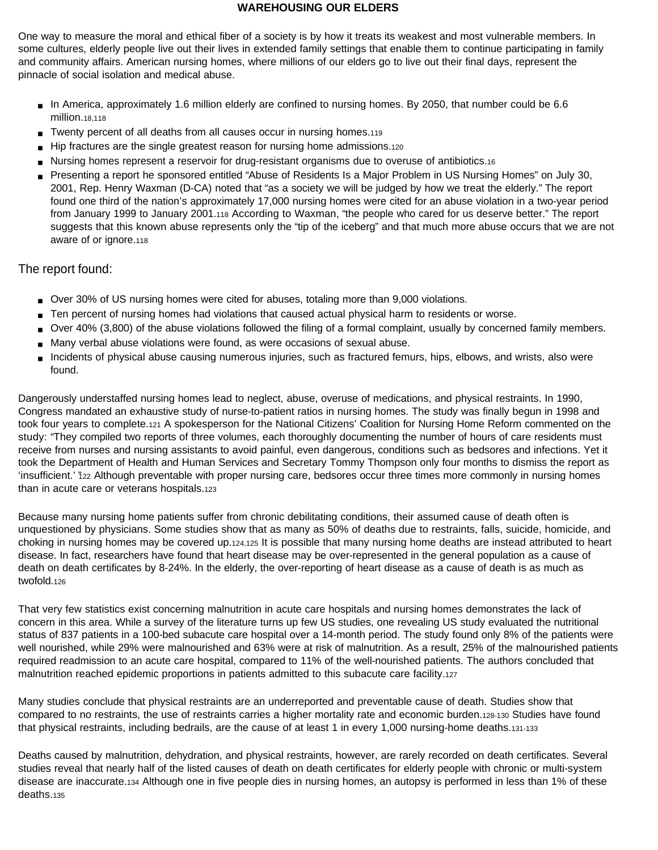#### **WAREHOUSING OUR ELDERS**

One way to measure the moral and ethical fiber of a society is by how it treats its weakest and most vulnerable members. In some cultures, elderly people live out their lives in extended family settings that enable them to continue participating in family and community affairs. American nursing homes, where millions of our elders go to live out their final days, represent the pinnacle of social isolation and medical abuse.

- In America, approximately 1.6 million elderly are confined to nursing homes. By 2050, that number could be 6.6 million.<sub>18,118</sub>
- Twenty percent of all deaths from all causes occur in nursing homes.119
- Hip fractures are the single greatest reason for nursing home admissions.120
- Nursing homes represent a reservoir for drug-resistant organisms due to overuse of antibiotics.16
- Presenting a report he sponsored entitled "Abuse of Residents Is a Major Problem in US Nursing Homes" on July 30, 2001, Rep. Henry Waxman (D-CA) noted that "as a society we will be judged by how we treat the elderly." The report found one third of the nation's approximately 17,000 nursing homes were cited for an abuse violation in a two-year period from January 1999 to January 2001.118 According to Waxman, "the people who cared for us deserve better." The report suggests that this known abuse represents only the "tip of the iceberg" and that much more abuse occurs that we are not aware of or ignore.118

#### The report found:

- Over 30% of US nursing homes were cited for abuses, totaling more than 9,000 violations.
- Ten percent of nursing homes had violations that caused actual physical harm to residents or worse.
- Over 40% (3,800) of the abuse violations followed the filing of a formal complaint, usually by concerned family members.
- Many verbal abuse violations were found, as were occasions of sexual abuse.
- Incidents of physical abuse causing numerous injuries, such as fractured femurs, hips, elbows, and wrists, also were found.

Dangerously understaffed nursing homes lead to neglect, abuse, overuse of medications, and physical restraints. In 1990, Congress mandated an exhaustive study of nurse-to-patient ratios in nursing homes. The study was finally begun in 1998 and took four years to complete.121 A spokesperson for the National Citizens' Coalition for Nursing Home Reform commented on the study: "They compiled two reports of three volumes, each thoroughly documenting the number of hours of care residents must receive from nurses and nursing assistants to avoid painful, even dangerous, conditions such as bedsores and infections. Yet it took the Department of Health and Human Services and Secretary Tommy Thompson only four months to dismiss the report as 'insufficient.' "122 Although preventable with proper nursing care, bedsores occur three times more commonly in nursing homes than in acute care or veterans hospitals.<sup>123</sup>

Because many nursing home patients suffer from chronic debilitating conditions, their assumed cause of death often is unquestioned by physicians. Some studies show that as many as 50% of deaths due to restraints, falls, suicide, homicide, and choking in nursing homes may be covered up.124,125 It is possible that many nursing home deaths are instead attributed to heart disease. In fact, researchers have found that heart disease may be over-represented in the general population as a cause of death on death certificates by 8-24%. In the elderly, the over-reporting of heart disease as a cause of death is as much as twofold.<sup>126</sup>

That very few statistics exist concerning malnutrition in acute care hospitals and nursing homes demonstrates the lack of concern in this area. While a survey of the literature turns up few US studies, one revealing US study evaluated the nutritional status of 837 patients in a 100-bed subacute care hospital over a 14-month period. The study found only 8% of the patients were well nourished, while 29% were malnourished and 63% were at risk of malnutrition. As a result, 25% of the malnourished patients required readmission to an acute care hospital, compared to 11% of the well-nourished patients. The authors concluded that malnutrition reached epidemic proportions in patients admitted to this subacute care facility.<sup>127</sup>

Many studies conclude that physical restraints are an underreported and preventable cause of death. Studies show that compared to no restraints, the use of restraints carries a higher mortality rate and economic burden.128-130 Studies have found that physical restraints, including bedrails, are the cause of at least 1 in every 1,000 nursing-home deaths.131-133

Deaths caused by malnutrition, dehydration, and physical restraints, however, are rarely recorded on death certificates. Several studies reveal that nearly half of the listed causes of death on death certificates for elderly people with chronic or multi-system disease are inaccurate.134 Although one in five people dies in nursing homes, an autopsy is performed in less than 1% of these deaths.<sub>135</sub>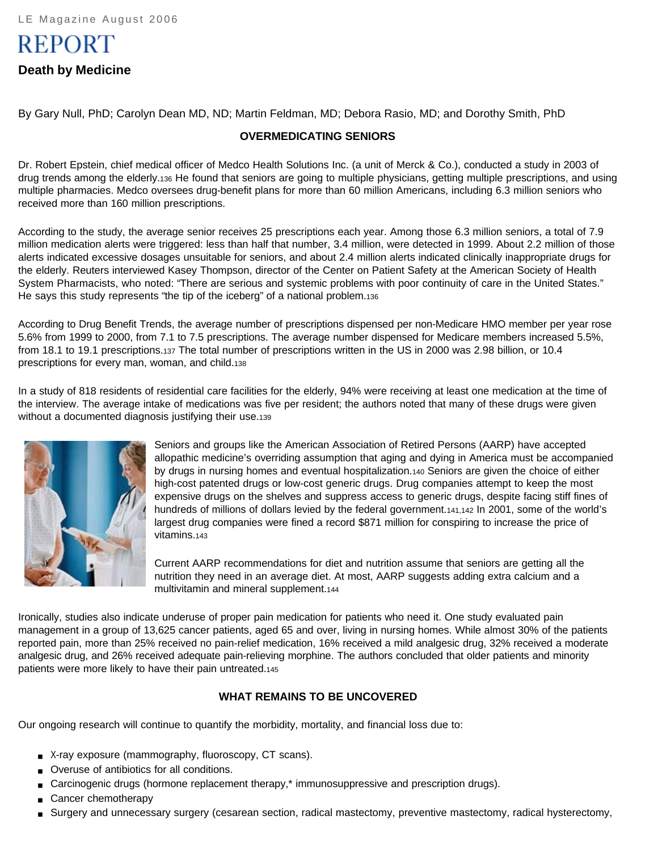## **REPORT Death by Medicine**

By Gary Null, PhD; Carolyn Dean MD, ND; Martin Feldman, MD; Debora Rasio, MD; and Dorothy Smith, PhD

#### **OVERMEDICATING SENIORS**

Dr. Robert Epstein, chief medical officer of Medco Health Solutions Inc. (a unit of Merck & Co.), conducted a study in 2003 of drug trends among the elderly.136 He found that seniors are going to multiple physicians, getting multiple prescriptions, and using multiple pharmacies. Medco oversees drug-benefit plans for more than 60 million Americans, including 6.3 million seniors who received more than 160 million prescriptions.

According to the study, the average senior receives 25 prescriptions each year. Among those 6.3 million seniors, a total of 7.9 million medication alerts were triggered: less than half that number, 3.4 million, were detected in 1999. About 2.2 million of those alerts indicated excessive dosages unsuitable for seniors, and about 2.4 million alerts indicated clinically inappropriate drugs for the elderly. Reuters interviewed Kasey Thompson, director of the Center on Patient Safety at the American Society of Health System Pharmacists, who noted: "There are serious and systemic problems with poor continuity of care in the United States." He says this study represents "the tip of the iceberg" of a national problem.136

According to Drug Benefit Trends, the average number of prescriptions dispensed per non-Medicare HMO member per year rose 5.6% from 1999 to 2000, from 7.1 to 7.5 prescriptions. The average number dispensed for Medicare members increased 5.5%, from 18.1 to 19.1 prescriptions.137 The total number of prescriptions written in the US in 2000 was 2.98 billion, or 10.4 prescriptions for every man, woman, and child.<sup>138</sup>

In a study of 818 residents of residential care facilities for the elderly, 94% were receiving at least one medication at the time of the interview. The average intake of medications was five per resident; the authors noted that many of these drugs were given without a documented diagnosis justifying their use.139



Seniors and groups like the American Association of Retired Persons (AARP) have accepted allopathic medicine's overriding assumption that aging and dying in America must be accompanied by drugs in nursing homes and eventual hospitalization.140 Seniors are given the choice of either high-cost patented drugs or low-cost generic drugs. Drug companies attempt to keep the most expensive drugs on the shelves and suppress access to generic drugs, despite facing stiff fines of hundreds of millions of dollars levied by the federal government.141,142 In 2001, some of the world's largest drug companies were fined a record \$871 million for conspiring to increase the price of vitamins.<sub>143</sub>

Current AARP recommendations for diet and nutrition assume that seniors are getting all the nutrition they need in an average diet. At most, AARP suggests adding extra calcium and a multivitamin and mineral supplement.<sup>144</sup>

Ironically, studies also indicate underuse of proper pain medication for patients who need it. One study evaluated pain management in a group of 13,625 cancer patients, aged 65 and over, living in nursing homes. While almost 30% of the patients reported pain, more than 25% received no pain-relief medication, 16% received a mild analgesic drug, 32% received a moderate analgesic drug, and 26% received adequate pain-relieving morphine. The authors concluded that older patients and minority patients were more likely to have their pain untreated.<sup>145</sup>

#### **WHAT REMAINS TO BE UNCOVERED**

Our ongoing research will continue to quantify the morbidity, mortality, and financial loss due to:

- X-ray exposure (mammography, fluoroscopy, CT scans).
- Overuse of antibiotics for all conditions.
- Carcinogenic drugs (hormone replacement therapy,\* immunosuppressive and prescription drugs).
- Cancer chemotherapy
- Surgery and unnecessary surgery (cesarean section, radical mastectomy, preventive mastectomy, radical hysterectomy,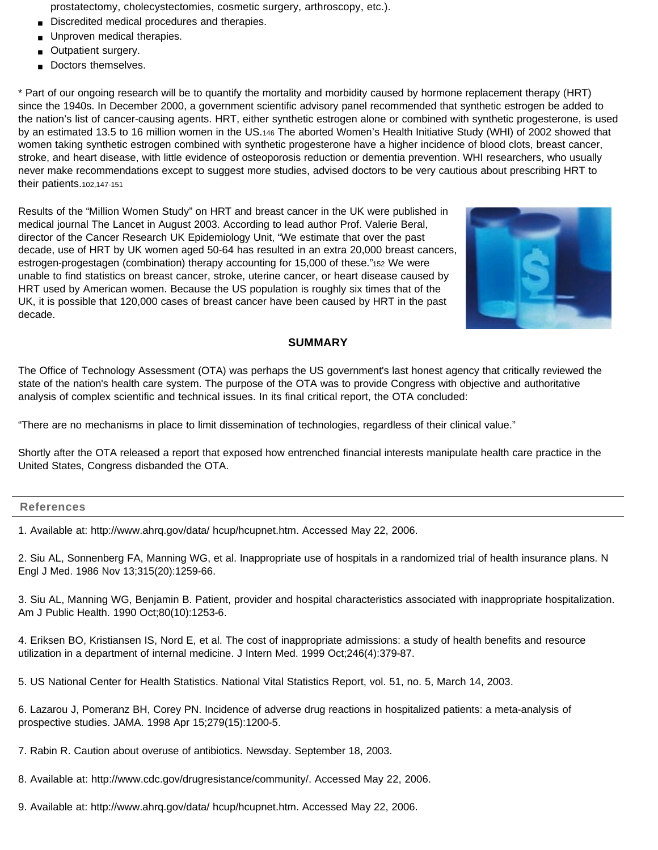prostatectomy, cholecystectomies, cosmetic surgery, arthroscopy, etc.).

- Discredited medical procedures and therapies.
- Unproven medical therapies.
- Outpatient surgery.
- Doctors themselves.

\* Part of our ongoing research will be to quantify the mortality and morbidity caused by hormone replacement therapy (HRT) since the 1940s. In December 2000, a government scientific advisory panel recommended that synthetic estrogen be added to the nation's list of cancer-causing agents. HRT, either synthetic estrogen alone or combined with synthetic progesterone, is used by an estimated 13.5 to 16 million women in the US.146 The aborted Women's Health Initiative Study (WHI) of 2002 showed that women taking synthetic estrogen combined with synthetic progesterone have a higher incidence of blood clots, breast cancer, stroke, and heart disease, with little evidence of osteoporosis reduction or dementia prevention. WHI researchers, who usually never make recommendations except to suggest more studies, advised doctors to be very cautious about prescribing HRT to their patients.102,147-151

Results of the "Million Women Study" on HRT and breast cancer in the UK were published in medical journal The Lancet in August 2003. According to lead author Prof. Valerie Beral, director of the Cancer Research UK Epidemiology Unit, "We estimate that over the past decade, use of HRT by UK women aged 50-64 has resulted in an extra 20,000 breast cancers, estrogen-progestagen (combination) therapy accounting for 15,000 of these."152 We were unable to find statistics on breast cancer, stroke, uterine cancer, or heart disease caused by HRT used by American women. Because the US population is roughly six times that of the UK, it is possible that 120,000 cases of breast cancer have been caused by HRT in the past decade.



#### **SUMMARY**

The Office of Technology Assessment (OTA) was perhaps the US government's last honest agency that critically reviewed the state of the nation's health care system. The purpose of the OTA was to provide Congress with objective and authoritative analysis of complex scientific and technical issues. In its final critical report, the OTA concluded:

"There are no mechanisms in place to limit dissemination of technologies, regardless of their clinical value."

Shortly after the OTA released a report that exposed how entrenched financial interests manipulate health care practice in the United States, Congress disbanded the OTA.

#### **References**

1. Available at: http://www.ahrq.gov/data/ hcup/hcupnet.htm. Accessed May 22, 2006.

2. Siu AL, Sonnenberg FA, Manning WG, et al. Inappropriate use of hospitals in a randomized trial of health insurance plans. N Engl J Med. 1986 Nov 13;315(20):1259-66.

3. Siu AL, Manning WG, Benjamin B. Patient, provider and hospital characteristics associated with inappropriate hospitalization. Am J Public Health. 1990 Oct;80(10):1253-6.

4. Eriksen BO, Kristiansen IS, Nord E, et al. The cost of inappropriate admissions: a study of health benefits and resource utilization in a department of internal medicine. J Intern Med. 1999 Oct;246(4):379-87.

5. US National Center for Health Statistics. National Vital Statistics Report, vol. 51, no. 5, March 14, 2003.

6. Lazarou J, Pomeranz BH, Corey PN. Incidence of adverse drug reactions in hospitalized patients: a meta-analysis of prospective studies. JAMA. 1998 Apr 15;279(15):1200-5.

7. Rabin R. Caution about overuse of antibiotics. Newsday. September 18, 2003.

8. Available at: http://www.cdc.gov/drugresistance/community/. Accessed May 22, 2006.

9. Available at: http://www.ahrq.gov/data/ hcup/hcupnet.htm. Accessed May 22, 2006.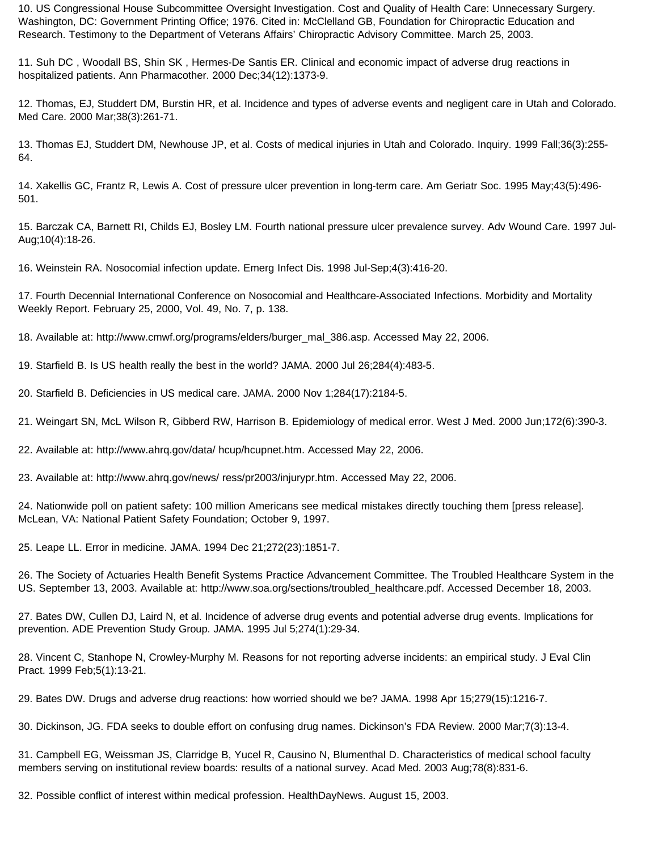10. US Congressional House Subcommittee Oversight Investigation. Cost and Quality of Health Care: Unnecessary Surgery. Washington, DC: Government Printing Office; 1976. Cited in: McClelland GB, Foundation for Chiropractic Education and Research. Testimony to the Department of Veterans Affairs' Chiropractic Advisory Committee. March 25, 2003.

11. Suh DC , Woodall BS, Shin SK , Hermes-De Santis ER. Clinical and economic impact of adverse drug reactions in hospitalized patients. Ann Pharmacother. 2000 Dec;34(12):1373-9.

12. Thomas, EJ, Studdert DM, Burstin HR, et al. Incidence and types of adverse events and negligent care in Utah and Colorado. Med Care. 2000 Mar;38(3):261-71.

13. Thomas EJ, Studdert DM, Newhouse JP, et al. Costs of medical injuries in Utah and Colorado. Inquiry. 1999 Fall;36(3):255- 64.

14. Xakellis GC, Frantz R, Lewis A. Cost of pressure ulcer prevention in long-term care. Am Geriatr Soc. 1995 May;43(5):496- 501.

15. Barczak CA, Barnett RI, Childs EJ, Bosley LM. Fourth national pressure ulcer prevalence survey. Adv Wound Care. 1997 Jul-Aug;10(4):18-26.

16. Weinstein RA. Nosocomial infection update. Emerg Infect Dis. 1998 Jul-Sep;4(3):416-20.

17. Fourth Decennial International Conference on Nosocomial and Healthcare-Associated Infections. Morbidity and Mortality Weekly Report. February 25, 2000, Vol. 49, No. 7, p. 138.

18. Available at: http://www.cmwf.org/programs/elders/burger\_mal\_386.asp. Accessed May 22, 2006.

19. Starfield B. Is US health really the best in the world? JAMA. 2000 Jul 26;284(4):483-5.

20. Starfield B. Deficiencies in US medical care. JAMA. 2000 Nov 1;284(17):2184-5.

21. Weingart SN, McL Wilson R, Gibberd RW, Harrison B. Epidemiology of medical error. West J Med. 2000 Jun;172(6):390-3.

22. Available at: http://www.ahrq.gov/data/ hcup/hcupnet.htm. Accessed May 22, 2006.

23. Available at: http://www.ahrq.gov/news/ ress/pr2003/injurypr.htm. Accessed May 22, 2006.

24. Nationwide poll on patient safety: 100 million Americans see medical mistakes directly touching them [press release]. McLean, VA: National Patient Safety Foundation; October 9, 1997.

25. Leape LL. Error in medicine. JAMA. 1994 Dec 21;272(23):1851-7.

26. The Society of Actuaries Health Benefit Systems Practice Advancement Committee. The Troubled Healthcare System in the US. September 13, 2003. Available at: http://www.soa.org/sections/troubled\_healthcare.pdf. Accessed December 18, 2003.

27. Bates DW, Cullen DJ, Laird N, et al. Incidence of adverse drug events and potential adverse drug events. Implications for prevention. ADE Prevention Study Group. JAMA. 1995 Jul 5;274(1):29-34.

28. Vincent C, Stanhope N, Crowley-Murphy M. Reasons for not reporting adverse incidents: an empirical study. J Eval Clin Pract. 1999 Feb;5(1):13-21.

29. Bates DW. Drugs and adverse drug reactions: how worried should we be? JAMA. 1998 Apr 15;279(15):1216-7.

30. Dickinson, JG. FDA seeks to double effort on confusing drug names. Dickinson's FDA Review. 2000 Mar;7(3):13-4.

31. Campbell EG, Weissman JS, Clarridge B, Yucel R, Causino N, Blumenthal D. Characteristics of medical school faculty members serving on institutional review boards: results of a national survey. Acad Med. 2003 Aug;78(8):831-6.

32. Possible conflict of interest within medical profession. HealthDayNews. August 15, 2003.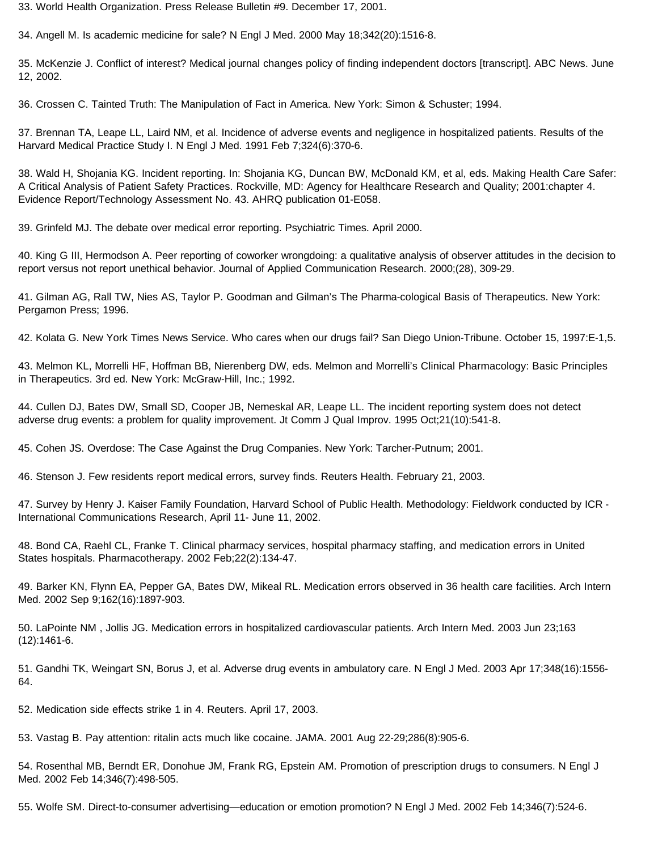33. World Health Organization. Press Release Bulletin #9. December 17, 2001.

34. Angell M. Is academic medicine for sale? N Engl J Med. 2000 May 18;342(20):1516-8.

35. McKenzie J. Conflict of interest? Medical journal changes policy of finding independent doctors [transcript]. ABC News. June 12, 2002.

36. Crossen C. Tainted Truth: The Manipulation of Fact in America. New York: Simon & Schuster; 1994.

37. Brennan TA, Leape LL, Laird NM, et al. Incidence of adverse events and negligence in hospitalized patients. Results of the Harvard Medical Practice Study I. N Engl J Med. 1991 Feb 7;324(6):370-6.

38. Wald H, Shojania KG. Incident reporting. In: Shojania KG, Duncan BW, McDonald KM, et al, eds. Making Health Care Safer: A Critical Analysis of Patient Safety Practices. Rockville, MD: Agency for Healthcare Research and Quality; 2001:chapter 4. Evidence Report/Technology Assessment No. 43. AHRQ publication 01-E058.

39. Grinfeld MJ. The debate over medical error reporting. Psychiatric Times. April 2000.

40. King G III, Hermodson A. Peer reporting of coworker wrongdoing: a qualitative analysis of observer attitudes in the decision to report versus not report unethical behavior. Journal of Applied Communication Research. 2000;(28), 309-29.

41. Gilman AG, Rall TW, Nies AS, Taylor P. Goodman and Gilman's The Pharma-cological Basis of Therapeutics. New York: Pergamon Press; 1996.

42. Kolata G. New York Times News Service. Who cares when our drugs fail? San Diego Union-Tribune. October 15, 1997:E-1,5.

43. Melmon KL, Morrelli HF, Hoffman BB, Nierenberg DW, eds. Melmon and Morrelli's Clinical Pharmacology: Basic Principles in Therapeutics. 3rd ed. New York: McGraw-Hill, Inc.; 1992.

44. Cullen DJ, Bates DW, Small SD, Cooper JB, Nemeskal AR, Leape LL. The incident reporting system does not detect adverse drug events: a problem for quality improvement. Jt Comm J Qual Improv. 1995 Oct;21(10):541-8.

45. Cohen JS. Overdose: The Case Against the Drug Companies. New York: Tarcher-Putnum; 2001.

46. Stenson J. Few residents report medical errors, survey finds. Reuters Health. February 21, 2003.

47. Survey by Henry J. Kaiser Family Foundation, Harvard School of Public Health. Methodology: Fieldwork conducted by ICR - International Communications Research, April 11- June 11, 2002.

48. Bond CA, Raehl CL, Franke T. Clinical pharmacy services, hospital pharmacy staffing, and medication errors in United States hospitals. Pharmacotherapy. 2002 Feb;22(2):134-47.

49. Barker KN, Flynn EA, Pepper GA, Bates DW, Mikeal RL. Medication errors observed in 36 health care facilities. Arch Intern Med. 2002 Sep 9;162(16):1897-903.

50. LaPointe NM , Jollis JG. Medication errors in hospitalized cardiovascular patients. Arch Intern Med. 2003 Jun 23;163 (12):1461-6.

51. Gandhi TK, Weingart SN, Borus J, et al. Adverse drug events in ambulatory care. N Engl J Med. 2003 Apr 17;348(16):1556- 64.

52. Medication side effects strike 1 in 4. Reuters. April 17, 2003.

53. Vastag B. Pay attention: ritalin acts much like cocaine. JAMA. 2001 Aug 22-29;286(8):905-6.

54. Rosenthal MB, Berndt ER, Donohue JM, Frank RG, Epstein AM. Promotion of prescription drugs to consumers. N Engl J Med. 2002 Feb 14;346(7):498-505.

55. Wolfe SM. Direct-to-consumer advertising—education or emotion promotion? N Engl J Med. 2002 Feb 14;346(7):524-6.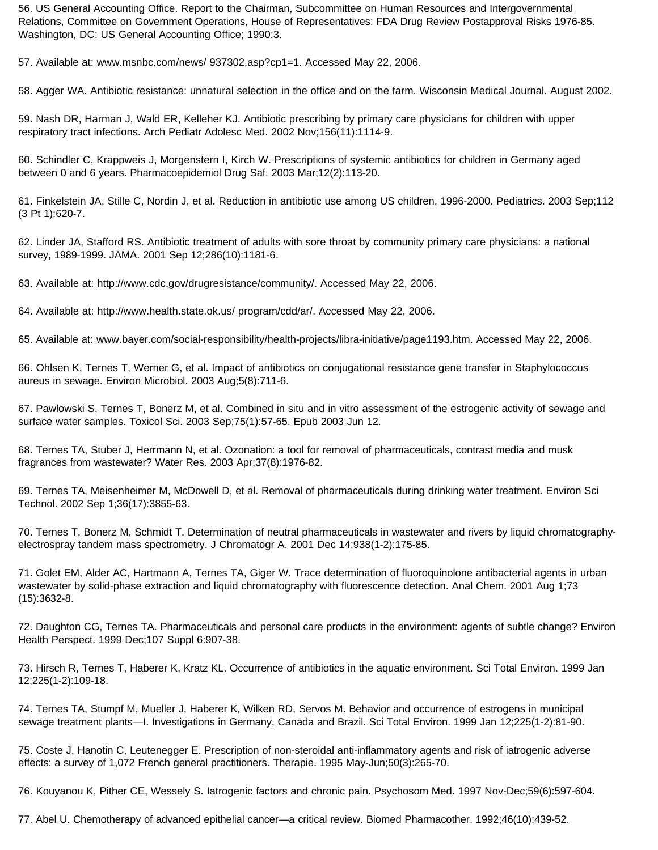56. US General Accounting Office. Report to the Chairman, Subcommittee on Human Resources and Intergovernmental Relations, Committee on Government Operations, House of Representatives: FDA Drug Review Postapproval Risks 1976-85. Washington, DC: US General Accounting Office; 1990:3.

57. Available at: www.msnbc.com/news/ 937302.asp?cp1=1. Accessed May 22, 2006.

58. Agger WA. Antibiotic resistance: unnatural selection in the office and on the farm. Wisconsin Medical Journal. August 2002.

59. Nash DR, Harman J, Wald ER, Kelleher KJ. Antibiotic prescribing by primary care physicians for children with upper respiratory tract infections. Arch Pediatr Adolesc Med. 2002 Nov;156(11):1114-9.

60. Schindler C, Krappweis J, Morgenstern I, Kirch W. Prescriptions of systemic antibiotics for children in Germany aged between 0 and 6 years. Pharmacoepidemiol Drug Saf. 2003 Mar;12(2):113-20.

61. Finkelstein JA, Stille C, Nordin J, et al. Reduction in antibiotic use among US children, 1996-2000. Pediatrics. 2003 Sep;112 (3 Pt 1):620-7.

62. Linder JA, Stafford RS. Antibiotic treatment of adults with sore throat by community primary care physicians: a national survey, 1989-1999. JAMA. 2001 Sep 12;286(10):1181-6.

63. Available at: http://www.cdc.gov/drugresistance/community/. Accessed May 22, 2006.

64. Available at: http://www.health.state.ok.us/ program/cdd/ar/. Accessed May 22, 2006.

65. Available at: www.bayer.com/social-responsibility/health-projects/libra-initiative/page1193.htm. Accessed May 22, 2006.

66. Ohlsen K, Ternes T, Werner G, et al. Impact of antibiotics on conjugational resistance gene transfer in Staphylococcus aureus in sewage. Environ Microbiol. 2003 Aug;5(8):711-6.

67. Pawlowski S, Ternes T, Bonerz M, et al. Combined in situ and in vitro assessment of the estrogenic activity of sewage and surface water samples. Toxicol Sci. 2003 Sep;75(1):57-65. Epub 2003 Jun 12.

68. Ternes TA, Stuber J, Herrmann N, et al. Ozonation: a tool for removal of pharmaceuticals, contrast media and musk fragrances from wastewater? Water Res. 2003 Apr;37(8):1976-82.

69. Ternes TA, Meisenheimer M, McDowell D, et al. Removal of pharmaceuticals during drinking water treatment. Environ Sci Technol. 2002 Sep 1;36(17):3855-63.

70. Ternes T, Bonerz M, Schmidt T. Determination of neutral pharmaceuticals in wastewater and rivers by liquid chromatographyelectrospray tandem mass spectrometry. J Chromatogr A. 2001 Dec 14;938(1-2):175-85.

71. Golet EM, Alder AC, Hartmann A, Ternes TA, Giger W. Trace determination of fluoroquinolone antibacterial agents in urban wastewater by solid-phase extraction and liquid chromatography with fluorescence detection. Anal Chem. 2001 Aug 1;73 (15):3632-8.

72. Daughton CG, Ternes TA. Pharmaceuticals and personal care products in the environment: agents of subtle change? Environ Health Perspect. 1999 Dec;107 Suppl 6:907-38.

73. Hirsch R, Ternes T, Haberer K, Kratz KL. Occurrence of antibiotics in the aquatic environment. Sci Total Environ. 1999 Jan 12;225(1-2):109-18.

74. Ternes TA, Stumpf M, Mueller J, Haberer K, Wilken RD, Servos M. Behavior and occurrence of estrogens in municipal sewage treatment plants—I. Investigations in Germany, Canada and Brazil. Sci Total Environ. 1999 Jan 12;225(1-2):81-90.

75. Coste J, Hanotin C, Leutenegger E. Prescription of non-steroidal anti-inflammatory agents and risk of iatrogenic adverse effects: a survey of 1,072 French general practitioners. Therapie. 1995 May-Jun;50(3):265-70.

76. Kouyanou K, Pither CE, Wessely S. Iatrogenic factors and chronic pain. Psychosom Med. 1997 Nov-Dec;59(6):597-604.

77. Abel U. Chemotherapy of advanced epithelial cancer—a critical review. Biomed Pharmacother. 1992;46(10):439-52.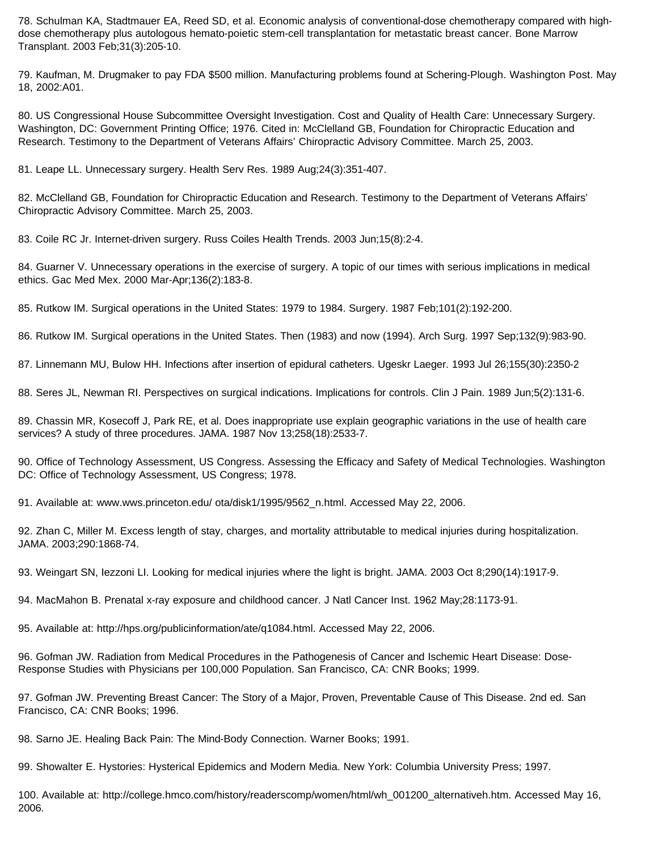78. Schulman KA, Stadtmauer EA, Reed SD, et al. Economic analysis of conventional-dose chemotherapy compared with highdose chemotherapy plus autologous hemato-poietic stem-cell transplantation for metastatic breast cancer. Bone Marrow Transplant. 2003 Feb;31(3):205-10.

79. Kaufman, M. Drugmaker to pay FDA \$500 million. Manufacturing problems found at Schering-Plough. Washington Post. May 18, 2002:A01.

80. US Congressional House Subcommittee Oversight Investigation. Cost and Quality of Health Care: Unnecessary Surgery. Washington, DC: Government Printing Office; 1976. Cited in: McClelland GB, Foundation for Chiropractic Education and Research. Testimony to the Department of Veterans Affairs' Chiropractic Advisory Committee. March 25, 2003.

81. Leape LL. Unnecessary surgery. Health Serv Res. 1989 Aug;24(3):351-407.

82. McClelland GB, Foundation for Chiropractic Education and Research. Testimony to the Department of Veterans Affairs' Chiropractic Advisory Committee. March 25, 2003.

83. Coile RC Jr. Internet-driven surgery. Russ Coiles Health Trends. 2003 Jun;15(8):2-4.

84. Guarner V. Unnecessary operations in the exercise of surgery. A topic of our times with serious implications in medical ethics. Gac Med Mex. 2000 Mar-Apr;136(2):183-8.

85. Rutkow IM. Surgical operations in the United States: 1979 to 1984. Surgery. 1987 Feb;101(2):192-200.

86. Rutkow IM. Surgical operations in the United States. Then (1983) and now (1994). Arch Surg. 1997 Sep;132(9):983-90.

87. Linnemann MU, Bulow HH. Infections after insertion of epidural catheters. Ugeskr Laeger. 1993 Jul 26;155(30):2350-2

88. Seres JL, Newman RI. Perspectives on surgical indications. Implications for controls. Clin J Pain. 1989 Jun;5(2):131-6.

89. Chassin MR, Kosecoff J, Park RE, et al. Does inappropriate use explain geographic variations in the use of health care services? A study of three procedures. JAMA. 1987 Nov 13;258(18):2533-7.

90. Office of Technology Assessment, US Congress. Assessing the Efficacy and Safety of Medical Technologies. Washington DC: Office of Technology Assessment, US Congress; 1978.

91. Available at: www.wws.princeton.edu/ ota/disk1/1995/9562\_n.html. Accessed May 22, 2006.

92. Zhan C, Miller M. Excess length of stay, charges, and mortality attributable to medical injuries during hospitalization. JAMA. 2003;290:1868-74.

93. Weingart SN, Iezzoni LI. Looking for medical injuries where the light is bright. JAMA. 2003 Oct 8;290(14):1917-9.

94. MacMahon B. Prenatal x-ray exposure and childhood cancer. J Natl Cancer Inst. 1962 May;28:1173-91.

95. Available at: http://hps.org/publicinformation/ate/q1084.html. Accessed May 22, 2006.

96. Gofman JW. Radiation from Medical Procedures in the Pathogenesis of Cancer and Ischemic Heart Disease: Dose-Response Studies with Physicians per 100,000 Population. San Francisco, CA: CNR Books; 1999.

97. Gofman JW. Preventing Breast Cancer: The Story of a Major, Proven, Preventable Cause of This Disease. 2nd ed. San Francisco, CA: CNR Books; 1996.

98. Sarno JE. Healing Back Pain: The Mind-Body Connection. Warner Books; 1991.

99. Showalter E. Hystories: Hysterical Epidemics and Modern Media. New York: Columbia University Press; 1997.

100. Available at: http://college.hmco.com/history/readerscomp/women/html/wh\_001200\_alternativeh.htm. Accessed May 16, 2006.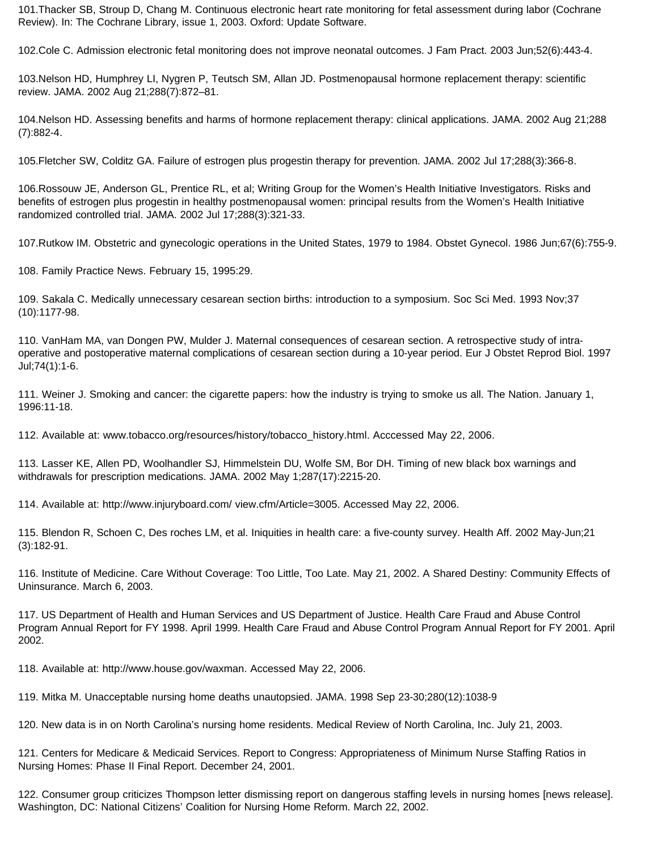101.Thacker SB, Stroup D, Chang M. Continuous electronic heart rate monitoring for fetal assessment during labor (Cochrane Review). In: The Cochrane Library, issue 1, 2003. Oxford: Update Software.

102.Cole C. Admission electronic fetal monitoring does not improve neonatal outcomes. J Fam Pract. 2003 Jun;52(6):443-4.

103.Nelson HD, Humphrey LI, Nygren P, Teutsch SM, Allan JD. Postmenopausal hormone replacement therapy: scientific review. JAMA. 2002 Aug 21;288(7):872–81.

104.Nelson HD. Assessing benefits and harms of hormone replacement therapy: clinical applications. JAMA. 2002 Aug 21;288 (7):882-4.

105.Fletcher SW, Colditz GA. Failure of estrogen plus progestin therapy for prevention. JAMA. 2002 Jul 17;288(3):366-8.

106.Rossouw JE, Anderson GL, Prentice RL, et al; Writing Group for the Women's Health Initiative Investigators. Risks and benefits of estrogen plus progestin in healthy postmenopausal women: principal results from the Women's Health Initiative randomized controlled trial. JAMA. 2002 Jul 17;288(3):321-33.

107.Rutkow IM. Obstetric and gynecologic operations in the United States, 1979 to 1984. Obstet Gynecol. 1986 Jun;67(6):755-9.

108. Family Practice News. February 15, 1995:29.

109. Sakala C. Medically unnecessary cesarean section births: introduction to a symposium. Soc Sci Med. 1993 Nov;37 (10):1177-98.

110. VanHam MA, van Dongen PW, Mulder J. Maternal consequences of cesarean section. A retrospective study of intraoperative and postoperative maternal complications of cesarean section during a 10-year period. Eur J Obstet Reprod Biol. 1997 Jul;74(1):1-6.

111. Weiner J. Smoking and cancer: the cigarette papers: how the industry is trying to smoke us all. The Nation. January 1, 1996:11-18.

112. Available at: www.tobacco.org/resources/history/tobacco\_history.html. Acccessed May 22, 2006.

113. Lasser KE, Allen PD, Woolhandler SJ, Himmelstein DU, Wolfe SM, Bor DH. Timing of new black box warnings and withdrawals for prescription medications. JAMA. 2002 May 1;287(17):2215-20.

114. Available at: http://www.injuryboard.com/ view.cfm/Article=3005. Accessed May 22, 2006.

115. Blendon R, Schoen C, Des roches LM, et al. Iniquities in health care: a five-county survey. Health Aff. 2002 May-Jun;21 (3):182-91.

116. Institute of Medicine. Care Without Coverage: Too Little, Too Late. May 21, 2002. A Shared Destiny: Community Effects of Uninsurance. March 6, 2003.

117. US Department of Health and Human Services and US Department of Justice. Health Care Fraud and Abuse Control Program Annual Report for FY 1998. April 1999. Health Care Fraud and Abuse Control Program Annual Report for FY 2001. April 2002.

118. Available at: http://www.house.gov/waxman. Accessed May 22, 2006.

119. Mitka M. Unacceptable nursing home deaths unautopsied. JAMA. 1998 Sep 23-30;280(12):1038-9

120. New data is in on North Carolina's nursing home residents. Medical Review of North Carolina, Inc. July 21, 2003.

121. Centers for Medicare & Medicaid Services. Report to Congress: Appropriateness of Minimum Nurse Staffing Ratios in Nursing Homes: Phase II Final Report. December 24, 2001.

122. Consumer group criticizes Thompson letter dismissing report on dangerous staffing levels in nursing homes [news release]. Washington, DC: National Citizens' Coalition for Nursing Home Reform. March 22, 2002.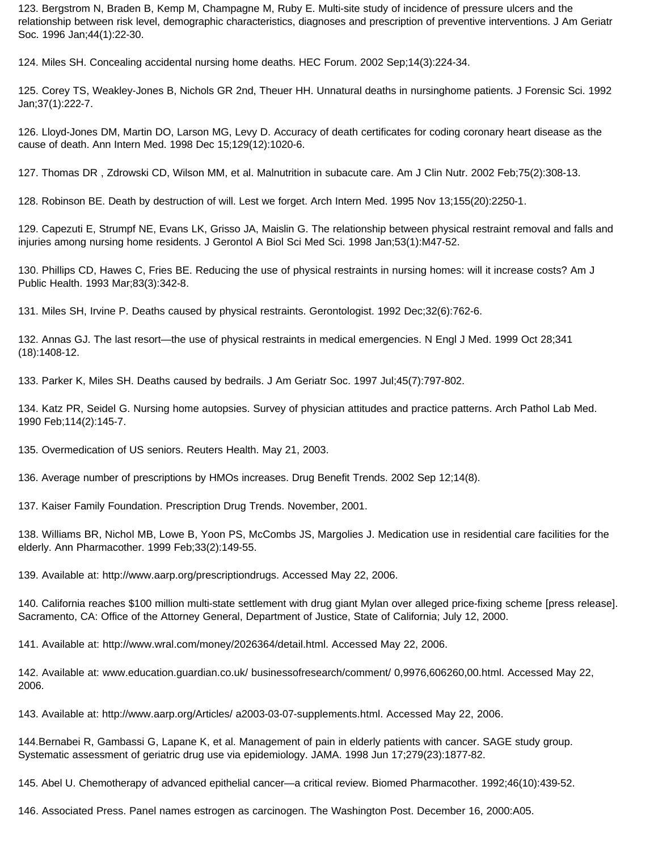123. Bergstrom N, Braden B, Kemp M, Champagne M, Ruby E. Multi-site study of incidence of pressure ulcers and the relationship between risk level, demographic characteristics, diagnoses and prescription of preventive interventions. J Am Geriatr Soc. 1996 Jan;44(1):22-30.

124. Miles SH. Concealing accidental nursing home deaths. HEC Forum. 2002 Sep;14(3):224-34.

125. Corey TS, Weakley-Jones B, Nichols GR 2nd, Theuer HH. Unnatural deaths in nursinghome patients. J Forensic Sci. 1992 Jan;37(1):222-7.

126. Lloyd-Jones DM, Martin DO, Larson MG, Levy D. Accuracy of death certificates for coding coronary heart disease as the cause of death. Ann Intern Med. 1998 Dec 15;129(12):1020-6.

127. Thomas DR , Zdrowski CD, Wilson MM, et al. Malnutrition in subacute care. Am J Clin Nutr. 2002 Feb;75(2):308-13.

128. Robinson BE. Death by destruction of will. Lest we forget. Arch Intern Med. 1995 Nov 13;155(20):2250-1.

129. Capezuti E, Strumpf NE, Evans LK, Grisso JA, Maislin G. The relationship between physical restraint removal and falls and injuries among nursing home residents. J Gerontol A Biol Sci Med Sci. 1998 Jan;53(1):M47-52.

130. Phillips CD, Hawes C, Fries BE. Reducing the use of physical restraints in nursing homes: will it increase costs? Am J Public Health. 1993 Mar;83(3):342-8.

131. Miles SH, Irvine P. Deaths caused by physical restraints. Gerontologist. 1992 Dec;32(6):762-6.

132. Annas GJ. The last resort—the use of physical restraints in medical emergencies. N Engl J Med. 1999 Oct 28;341 (18):1408-12.

133. Parker K, Miles SH. Deaths caused by bedrails. J Am Geriatr Soc. 1997 Jul;45(7):797-802.

134. Katz PR, Seidel G. Nursing home autopsies. Survey of physician attitudes and practice patterns. Arch Pathol Lab Med. 1990 Feb;114(2):145-7.

135. Overmedication of US seniors. Reuters Health. May 21, 2003.

136. Average number of prescriptions by HMOs increases. Drug Benefit Trends. 2002 Sep 12;14(8).

137. Kaiser Family Foundation. Prescription Drug Trends. November, 2001.

138. Williams BR, Nichol MB, Lowe B, Yoon PS, McCombs JS, Margolies J. Medication use in residential care facilities for the elderly. Ann Pharmacother. 1999 Feb;33(2):149-55.

139. Available at: http://www.aarp.org/prescriptiondrugs. Accessed May 22, 2006.

140. California reaches \$100 million multi-state settlement with drug giant Mylan over alleged price-fixing scheme [press release]. Sacramento, CA: Office of the Attorney General, Department of Justice, State of California; July 12, 2000.

141. Available at: http://www.wral.com/money/2026364/detail.html. Accessed May 22, 2006.

142. Available at: www.education.guardian.co.uk/ businessofresearch/comment/ 0,9976,606260,00.html. Accessed May 22, 2006.

143. Available at: http://www.aarp.org/Articles/ a2003-03-07-supplements.html. Accessed May 22, 2006.

144.Bernabei R, Gambassi G, Lapane K, et al. Management of pain in elderly patients with cancer. SAGE study group. Systematic assessment of geriatric drug use via epidemiology. JAMA. 1998 Jun 17;279(23):1877-82.

145. Abel U. Chemotherapy of advanced epithelial cancer—a critical review. Biomed Pharmacother. 1992;46(10):439-52.

146. Associated Press. Panel names estrogen as carcinogen. The Washington Post. December 16, 2000:A05.